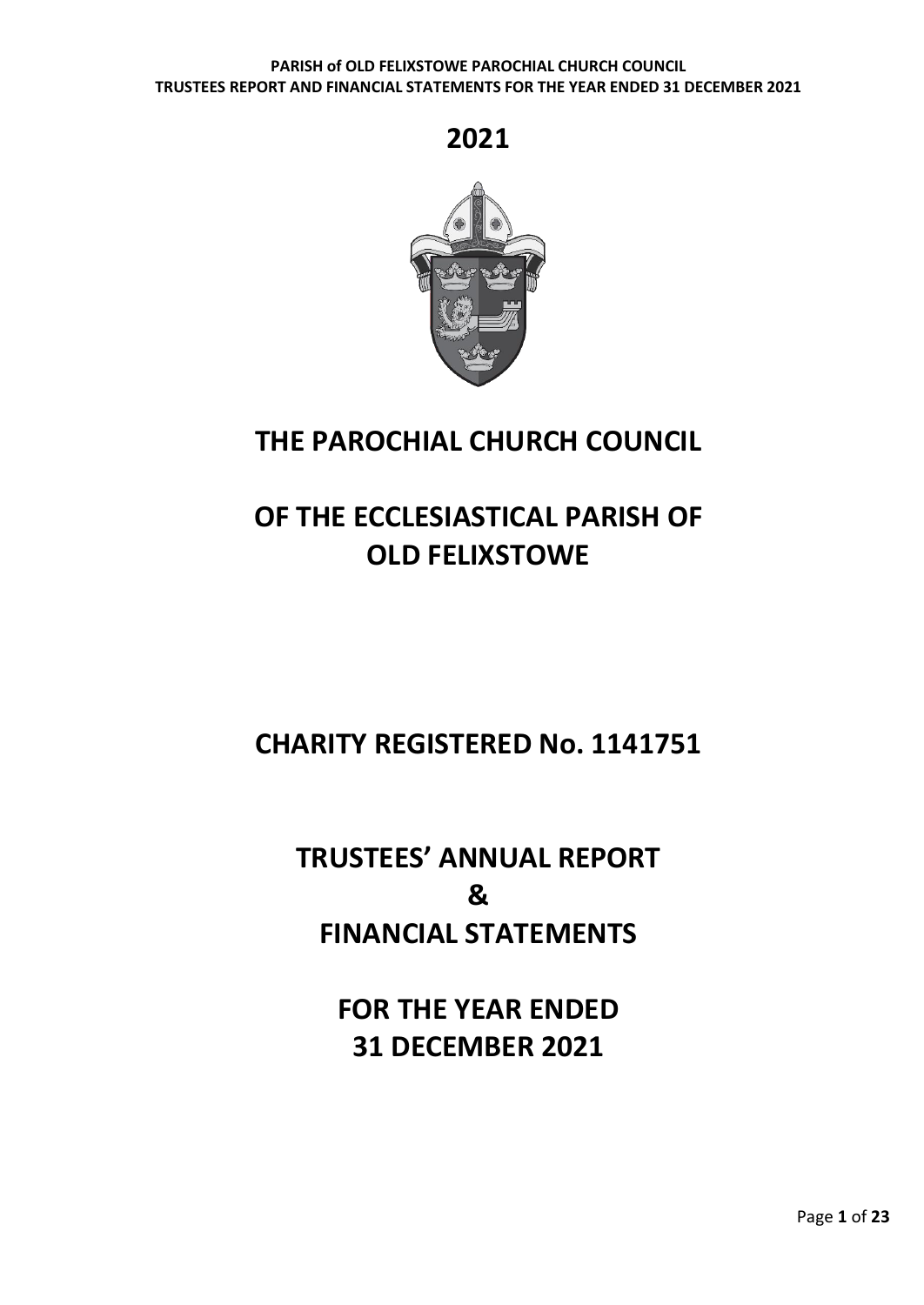



# **THE PAROCHIAL CHURCH COUNCIL**

# **OF THE ECCLESIASTICAL PARISH OF OLD FELIXSTOWE**

# **CHARITY REGISTERED No. 1141751**

# **TRUSTEES' ANNUAL REPORT & FINANCIAL STATEMENTS**

**FOR THE YEAR ENDED 31 DECEMBER 2021**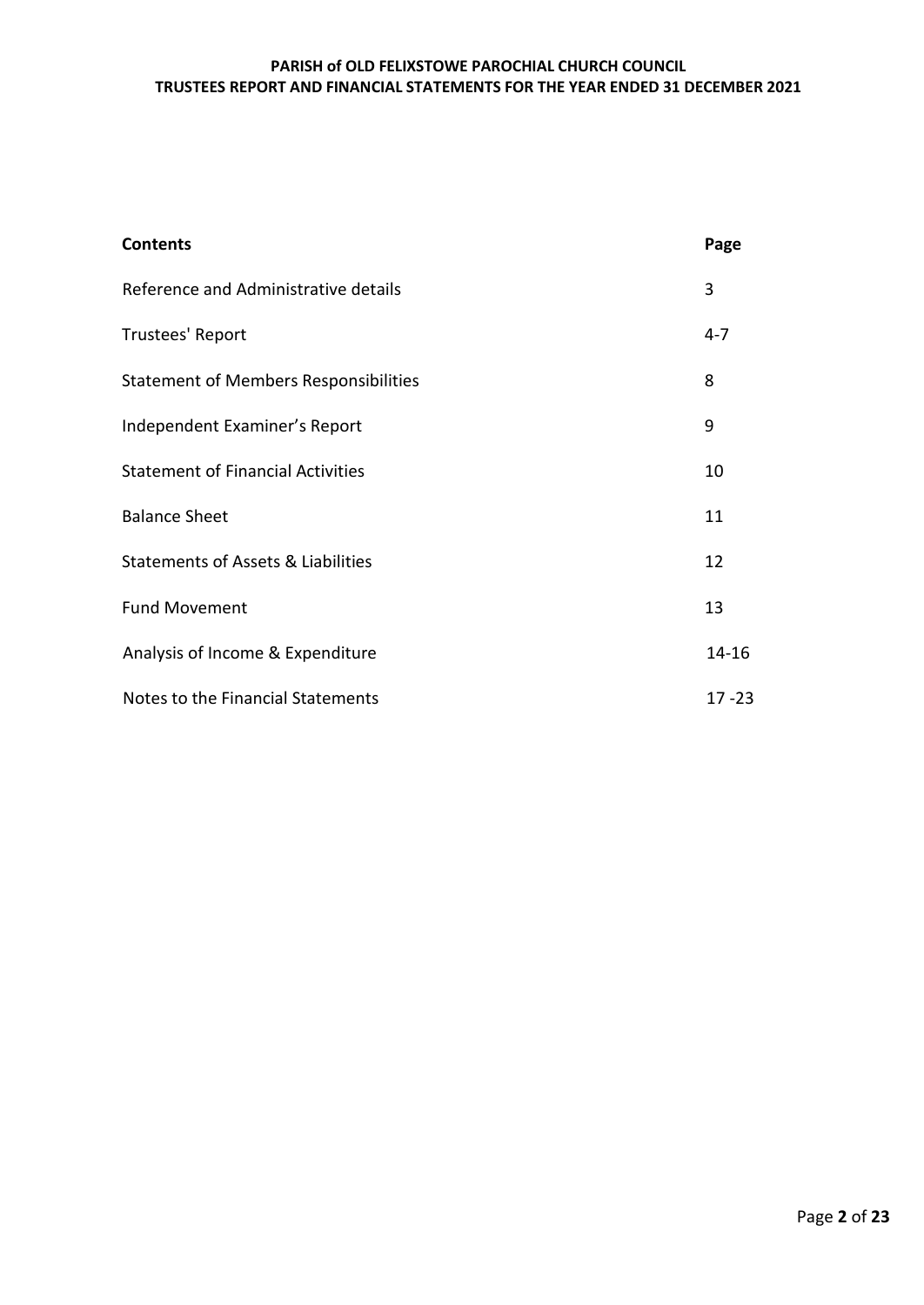| <b>Contents</b>                               | Page      |
|-----------------------------------------------|-----------|
| Reference and Administrative details          | 3         |
| Trustees' Report                              | $4 - 7$   |
| <b>Statement of Members Responsibilities</b>  | 8         |
| Independent Examiner's Report                 | 9         |
| <b>Statement of Financial Activities</b>      | 10        |
| <b>Balance Sheet</b>                          | 11        |
| <b>Statements of Assets &amp; Liabilities</b> | 12        |
| <b>Fund Movement</b>                          | 13        |
| Analysis of Income & Expenditure              | 14-16     |
| Notes to the Financial Statements             | $17 - 23$ |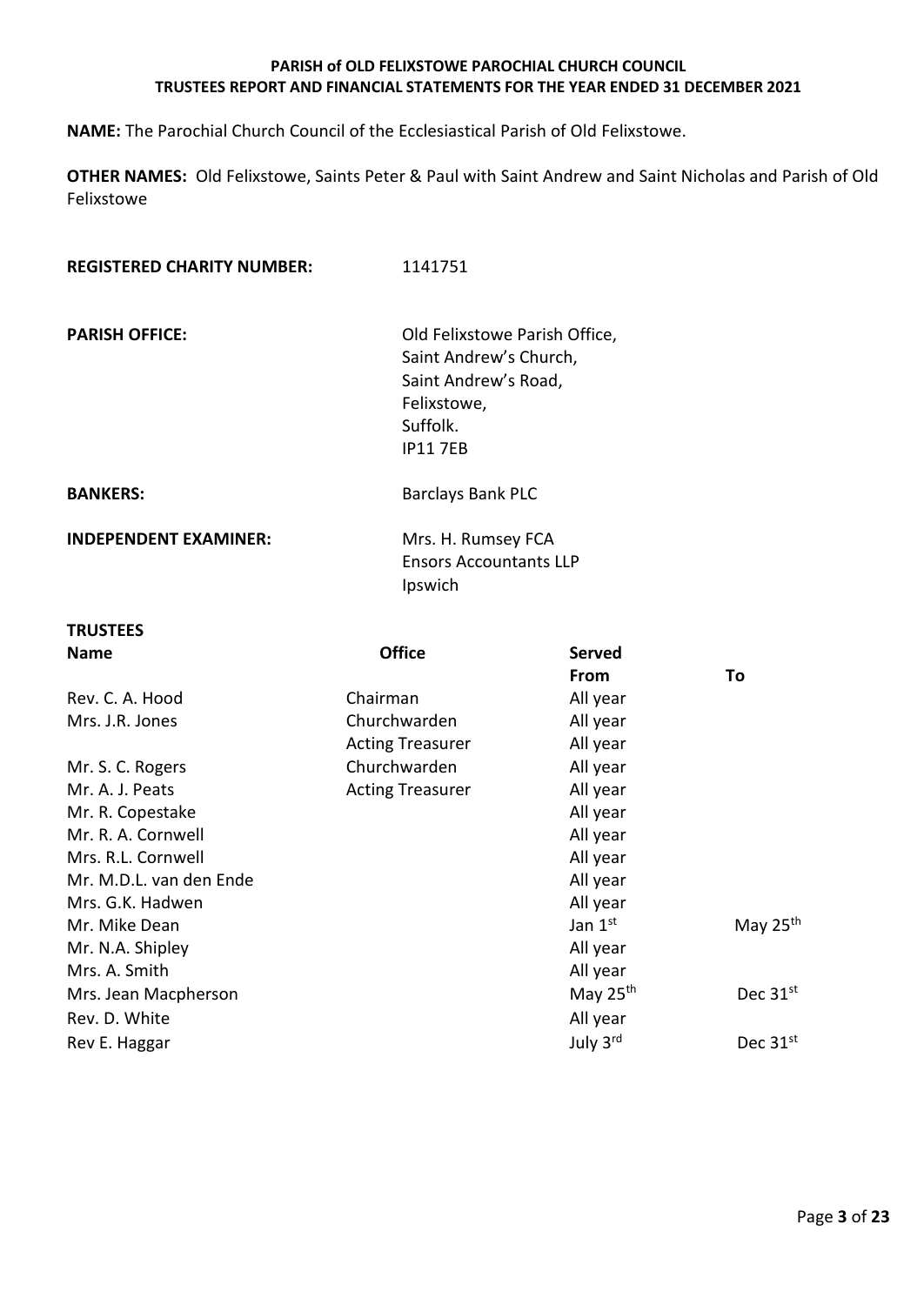**NAME:** The Parochial Church Council of the Ecclesiastical Parish of Old Felixstowe.

**OTHER NAMES:** Old Felixstowe, Saints Peter & Paul with Saint Andrew and Saint Nicholas and Parish of Old Felixstowe

**REGISTERED CHARITY NUMBER:** 1141751

**PARISH OFFICE:** Old Felixstowe Parish Office, Saint Andrew's Church, Saint Andrew's Road, Felixstowe, Suffolk. IP11 7EB

**BANKERS:** Barclays Bank PLC

**INDEPENDENT EXAMINER:** Mrs. H. Rumsey FCA Ensors Accountants LLP Ipswich

| TRUSTEES      |  |
|---------------|--|
| <b>Massac</b> |  |

| <b>Office</b>           | <b>Served</b>        |                      |  |
|-------------------------|----------------------|----------------------|--|
|                         | From                 | To                   |  |
| Chairman                | All year             |                      |  |
| Churchwarden            | All year             |                      |  |
| <b>Acting Treasurer</b> | All year             |                      |  |
| Churchwarden            | All year             |                      |  |
| <b>Acting Treasurer</b> | All year             |                      |  |
|                         | All year             |                      |  |
|                         | All year             |                      |  |
|                         | All year             |                      |  |
|                         | All year             |                      |  |
|                         | All year             |                      |  |
|                         | Jan $1st$            | May 25 <sup>th</sup> |  |
|                         | All year             |                      |  |
|                         | All year             |                      |  |
|                         | May 25 <sup>th</sup> | Dec 31 <sup>st</sup> |  |
|                         | All year             |                      |  |
|                         | July 3rd             | Dec 31 <sup>st</sup> |  |
|                         |                      |                      |  |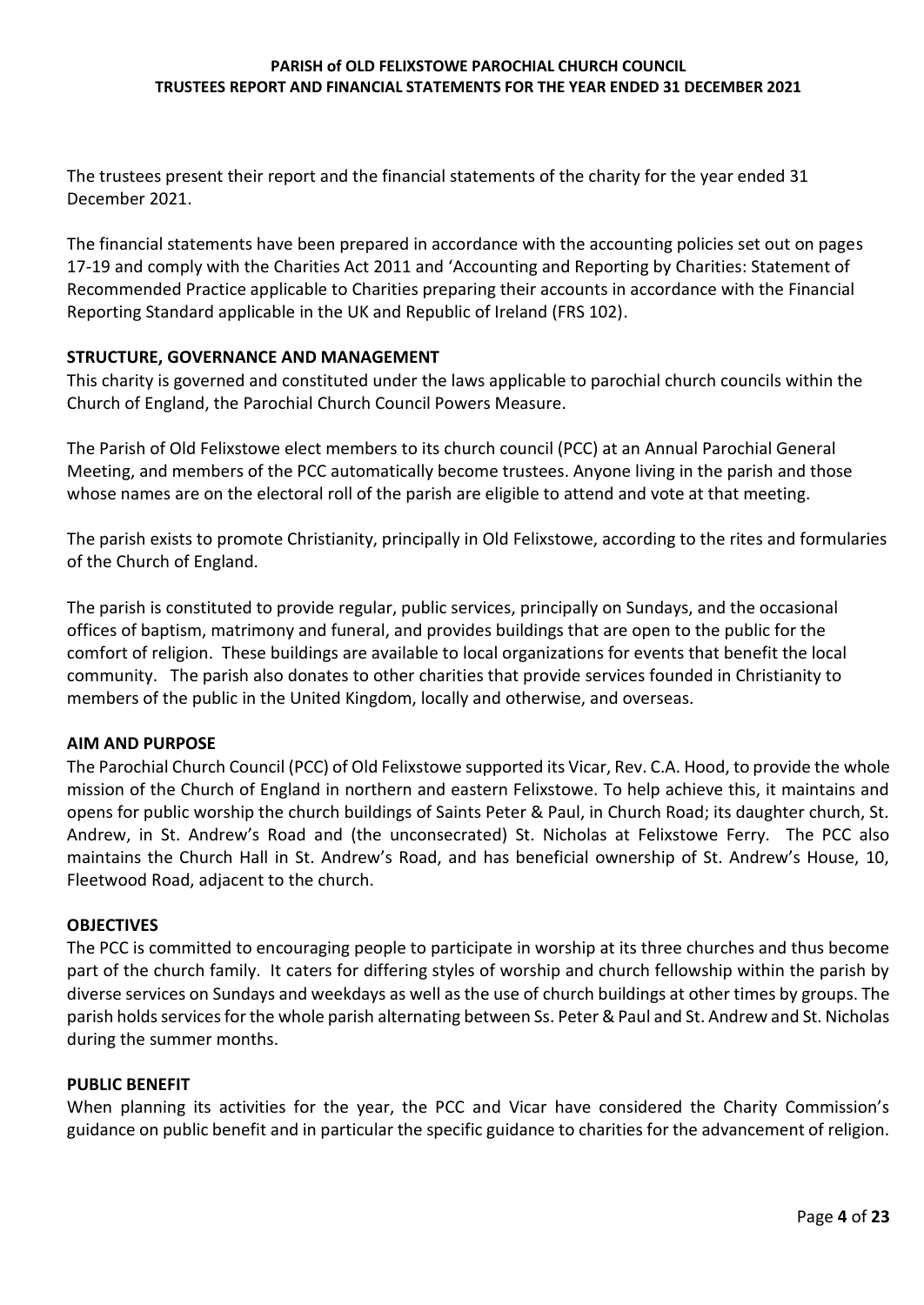The trustees present their report and the financial statements of the charity for the year ended 31 December 2021.

The financial statements have been prepared in accordance with the accounting policies set out on pages 17-19 and comply with the Charities Act 2011 and 'Accounting and Reporting by Charities: Statement of Recommended Practice applicable to Charities preparing their accounts in accordance with the Financial Reporting Standard applicable in the UK and Republic of Ireland (FRS 102).

#### **STRUCTURE, GOVERNANCE AND MANAGEMENT**

This charity is governed and constituted under the laws applicable to parochial church councils within the Church of England, the Parochial Church Council Powers Measure.

The Parish of Old Felixstowe elect members to its church council (PCC) at an Annual Parochial General Meeting, and members of the PCC automatically become trustees. Anyone living in the parish and those whose names are on the electoral roll of the parish are eligible to attend and vote at that meeting.

The parish exists to promote Christianity, principally in Old Felixstowe, according to the rites and formularies of the Church of England.

The parish is constituted to provide regular, public services, principally on Sundays, and the occasional offices of baptism, matrimony and funeral, and provides buildings that are open to the public for the comfort of religion. These buildings are available to local organizations for events that benefit the local community. The parish also donates to other charities that provide services founded in Christianity to members of the public in the United Kingdom, locally and otherwise, and overseas.

#### **AIM AND PURPOSE**

The Parochial Church Council (PCC) of Old Felixstowe supported its Vicar, Rev. C.A. Hood, to provide the whole mission of the Church of England in northern and eastern Felixstowe. To help achieve this, it maintains and opens for public worship the church buildings of Saints Peter & Paul, in Church Road; its daughter church, St. Andrew, in St. Andrew's Road and (the unconsecrated) St. Nicholas at Felixstowe Ferry. The PCC also maintains the Church Hall in St. Andrew's Road, and has beneficial ownership of St. Andrew's House, 10, Fleetwood Road, adjacent to the church.

#### **OBJECTIVES**

The PCC is committed to encouraging people to participate in worship at its three churches and thus become part of the church family. It caters for differing styles of worship and church fellowship within the parish by diverse services on Sundays and weekdays as well as the use of church buildings at other times by groups. The parish holds services for the whole parish alternating between Ss. Peter & Paul and St. Andrew and St. Nicholas during the summer months.

#### **PUBLIC BENEFIT**

When planning its activities for the year, the PCC and Vicar have considered the Charity Commission's guidance on public benefit and in particular the specific guidance to charities for the advancement of religion.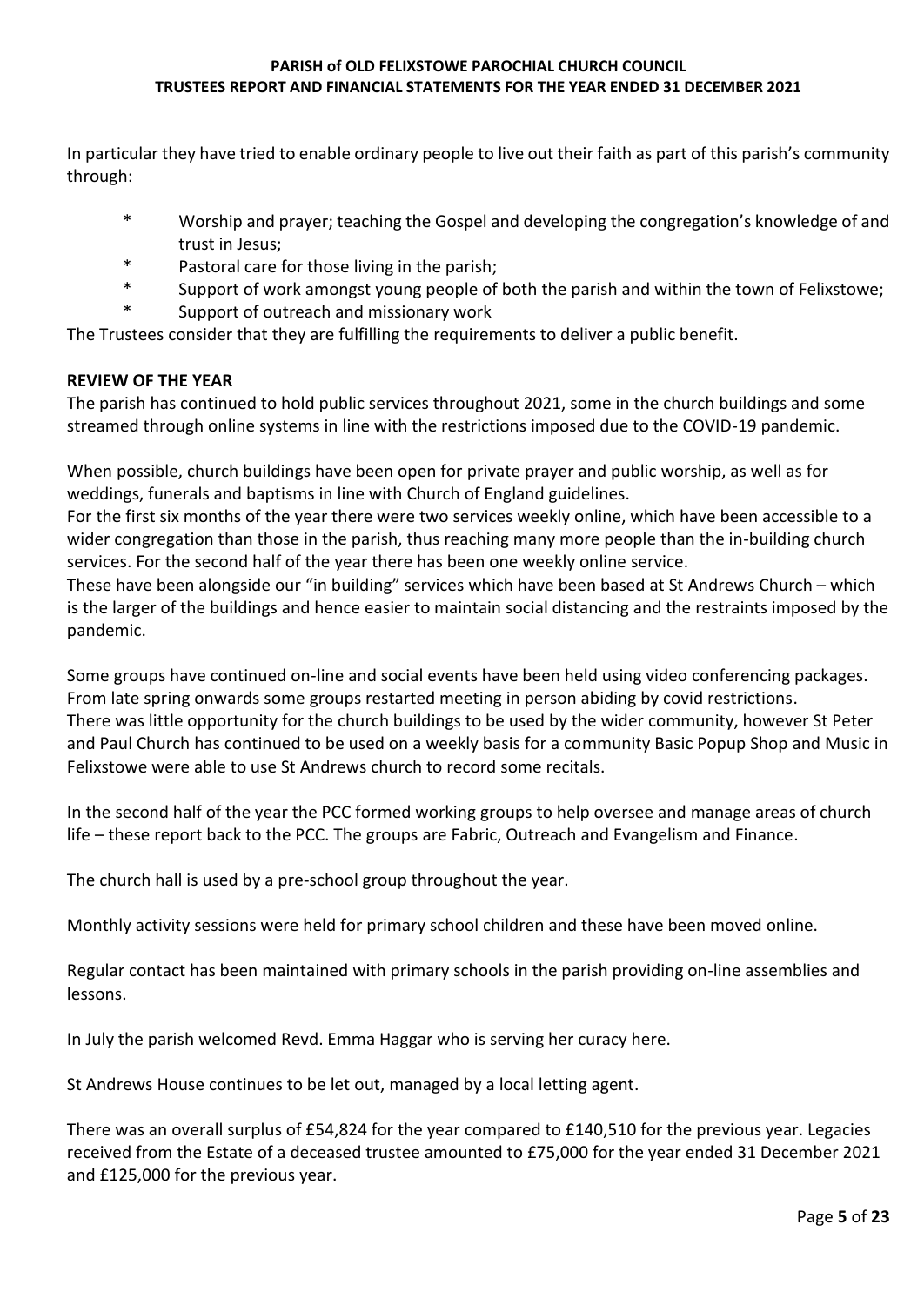In particular they have tried to enable ordinary people to live out their faith as part of this parish's community through:

- \* Worship and prayer; teaching the Gospel and developing the congregation's knowledge of and trust in Jesus;
- \* Pastoral care for those living in the parish;
- \* Support of work amongst young people of both the parish and within the town of Felixstowe;
- Support of outreach and missionary work

The Trustees consider that they are fulfilling the requirements to deliver a public benefit.

### **REVIEW OF THE YEAR**

The parish has continued to hold public services throughout 2021, some in the church buildings and some streamed through online systems in line with the restrictions imposed due to the COVID-19 pandemic.

When possible, church buildings have been open for private prayer and public worship, as well as for weddings, funerals and baptisms in line with Church of England guidelines.

For the first six months of the year there were two services weekly online, which have been accessible to a wider congregation than those in the parish, thus reaching many more people than the in-building church services. For the second half of the year there has been one weekly online service.

These have been alongside our "in building" services which have been based at St Andrews Church – which is the larger of the buildings and hence easier to maintain social distancing and the restraints imposed by the pandemic.

Some groups have continued on-line and social events have been held using video conferencing packages. From late spring onwards some groups restarted meeting in person abiding by covid restrictions. There was little opportunity for the church buildings to be used by the wider community, however St Peter and Paul Church has continued to be used on a weekly basis for a community Basic Popup Shop and Music in Felixstowe were able to use St Andrews church to record some recitals.

In the second half of the year the PCC formed working groups to help oversee and manage areas of church life – these report back to the PCC. The groups are Fabric, Outreach and Evangelism and Finance.

The church hall is used by a pre-school group throughout the year.

Monthly activity sessions were held for primary school children and these have been moved online.

Regular contact has been maintained with primary schools in the parish providing on-line assemblies and lessons.

In July the parish welcomed Revd. Emma Haggar who is serving her curacy here.

St Andrews House continues to be let out, managed by a local letting agent.

There was an overall surplus of £54,824 for the year compared to £140,510 for the previous year. Legacies received from the Estate of a deceased trustee amounted to £75,000 for the year ended 31 December 2021 and £125,000 for the previous year.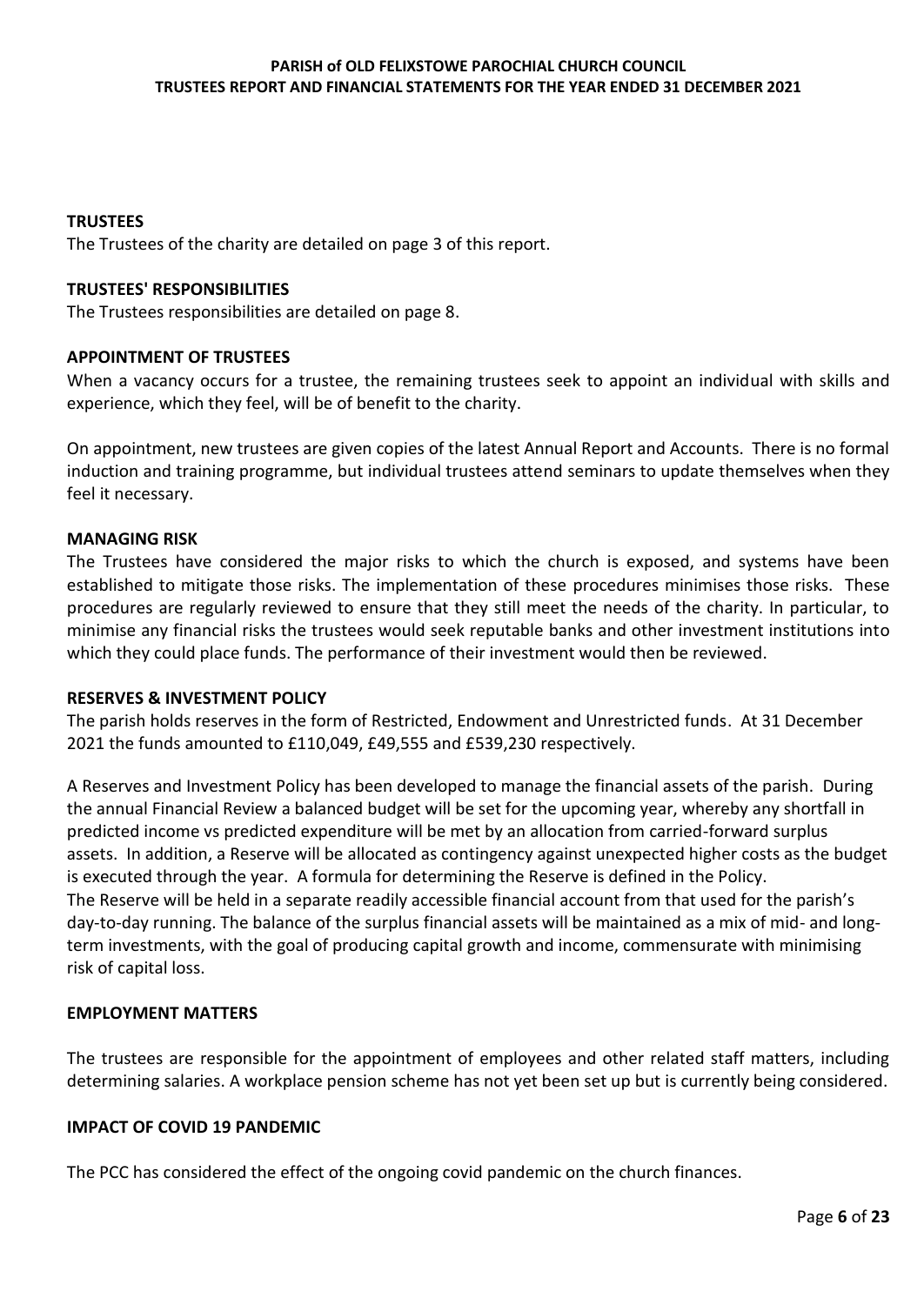## **TRUSTEES**

The Trustees of the charity are detailed on page 3 of this report.

#### **TRUSTEES' RESPONSIBILITIES**

The Trustees responsibilities are detailed on page 8.

#### **APPOINTMENT OF TRUSTEES**

When a vacancy occurs for a trustee, the remaining trustees seek to appoint an individual with skills and experience, which they feel, will be of benefit to the charity.

On appointment, new trustees are given copies of the latest Annual Report and Accounts. There is no formal induction and training programme, but individual trustees attend seminars to update themselves when they feel it necessary.

#### **MANAGING RISK**

The Trustees have considered the major risks to which the church is exposed, and systems have been established to mitigate those risks. The implementation of these procedures minimises those risks. These procedures are regularly reviewed to ensure that they still meet the needs of the charity. In particular, to minimise any financial risks the trustees would seek reputable banks and other investment institutions into which they could place funds. The performance of their investment would then be reviewed.

#### **RESERVES & INVESTMENT POLICY**

The parish holds reserves in the form of Restricted, Endowment and Unrestricted funds. At 31 December 2021 the funds amounted to £110,049, £49,555 and £539,230 respectively.

A Reserves and Investment Policy has been developed to manage the financial assets of the parish. During the annual Financial Review a balanced budget will be set for the upcoming year, whereby any shortfall in predicted income vs predicted expenditure will be met by an allocation from carried-forward surplus assets. In addition, a Reserve will be allocated as contingency against unexpected higher costs as the budget is executed through the year. A formula for determining the Reserve is defined in the Policy. The Reserve will be held in a separate readily accessible financial account from that used for the parish's day-to-day running. The balance of the surplus financial assets will be maintained as a mix of mid- and longterm investments, with the goal of producing capital growth and income, commensurate with minimising risk of capital loss.

#### **EMPLOYMENT MATTERS**

The trustees are responsible for the appointment of employees and other related staff matters, including determining salaries. A workplace pension scheme has not yet been set up but is currently being considered.

#### **IMPACT OF COVID 19 PANDEMIC**

The PCC has considered the effect of the ongoing covid pandemic on the church finances.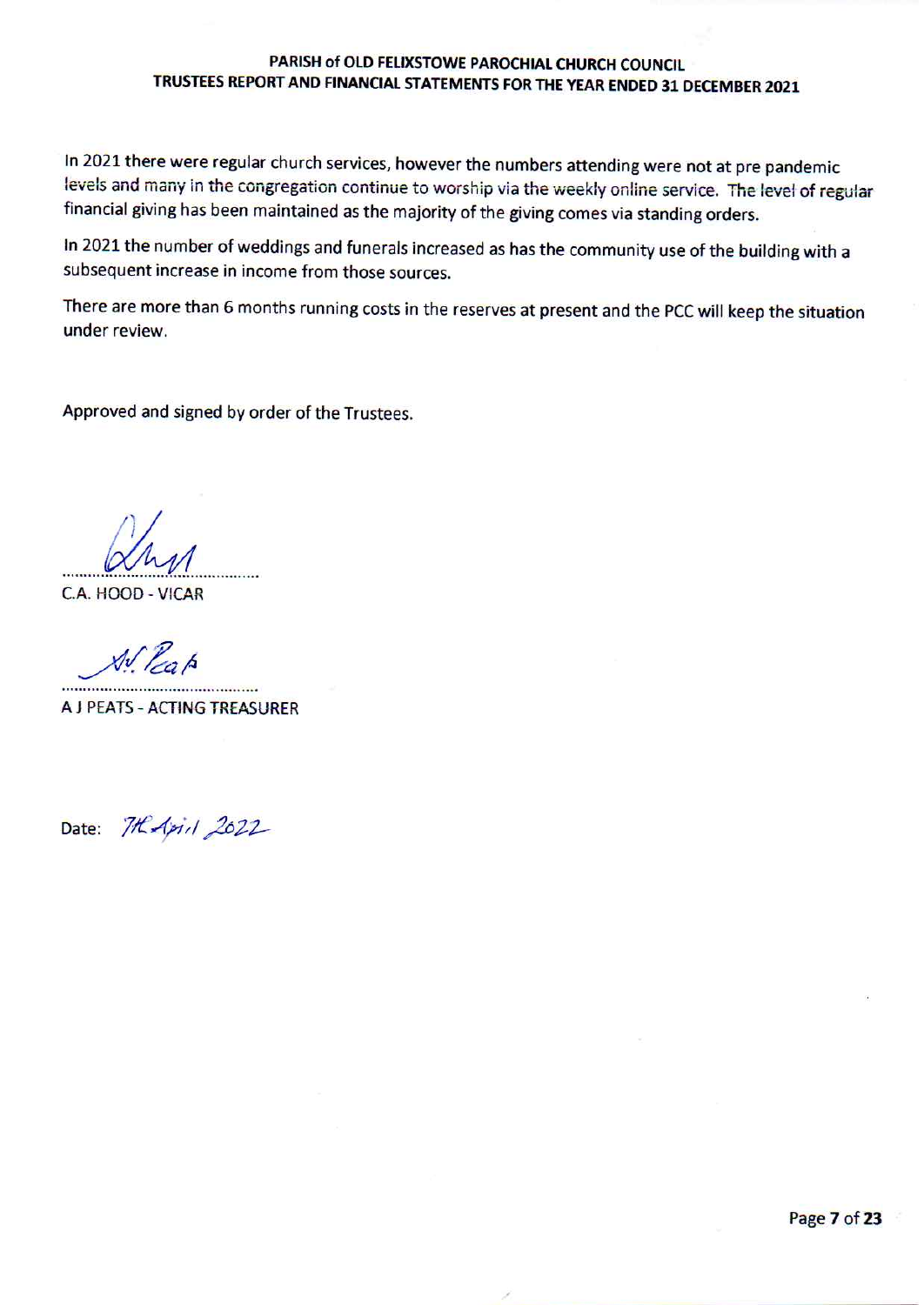In 2021 there were regular church services, however the numbers attending were not at pre pandemic levels and many in the congregation continue to worship via the weekly online service. The level of regular financial giving has been maintained as the majority of the giving comes via standing orders.

In 2021 the number of weddings and funerals increased as has the community use of the building with a subsequent increase in income from those sources.

There are more than 6 months running costs in the reserves at present and the PCC will keep the situation under review.

Approved and signed by order of the Trustees.

C.A. HOOD - VICAR

 $\mathcal{N}$  Prob

A J PEATS - ACTING TREASURER

Date: 7HApil 2022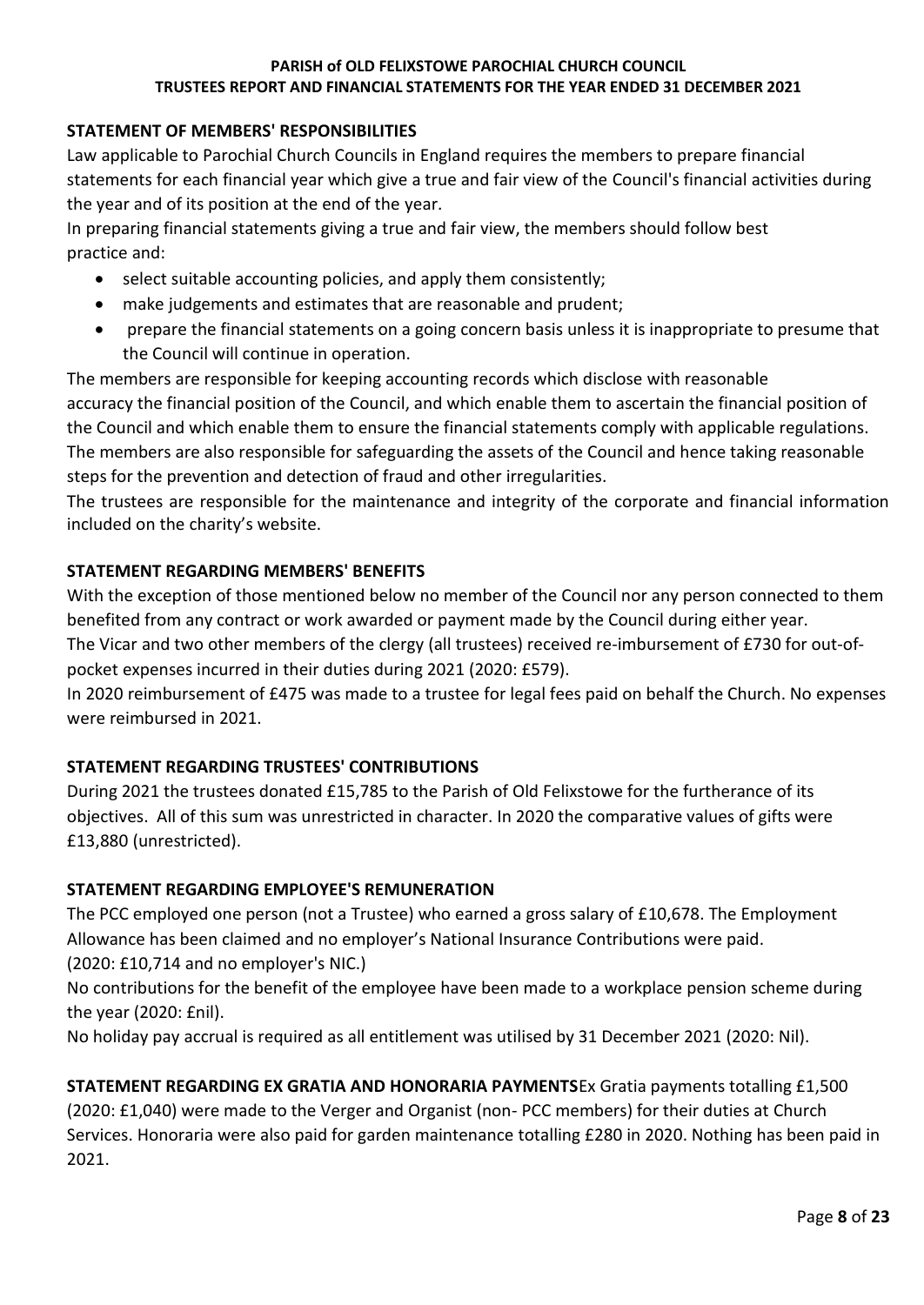# **STATEMENT OF MEMBERS' RESPONSIBILITIES**

Law applicable to Parochial Church Councils in England requires the members to prepare financial statements for each financial year which give a true and fair view of the Council's financial activities during the year and of its position at the end of the year.

In preparing financial statements giving a true and fair view, the members should follow best practice and:

- select suitable accounting policies, and apply them consistently;
- make judgements and estimates that are reasonable and prudent;
- prepare the financial statements on a going concern basis unless it is inappropriate to presume that the Council will continue in operation.

The members are responsible for keeping accounting records which disclose with reasonable accuracy the financial position of the Council, and which enable them to ascertain the financial position of the Council and which enable them to ensure the financial statements comply with applicable regulations. The members are also responsible for safeguarding the assets of the Council and hence taking reasonable steps for the prevention and detection of fraud and other irregularities.

The trustees are responsible for the maintenance and integrity of the corporate and financial information included on the charity's website.

# **STATEMENT REGARDING MEMBERS' BENEFITS**

With the exception of those mentioned below no member of the Council nor any person connected to them benefited from any contract or work awarded or payment made by the Council during either year.

The Vicar and two other members of the clergy (all trustees) received re-imbursement of £730 for out-ofpocket expenses incurred in their duties during 2021 (2020: £579).

In 2020 reimbursement of £475 was made to a trustee for legal fees paid on behalf the Church. No expenses were reimbursed in 2021.

## **STATEMENT REGARDING TRUSTEES' CONTRIBUTIONS**

During 2021 the trustees donated £15,785 to the Parish of Old Felixstowe for the furtherance of its objectives. All of this sum was unrestricted in character. In 2020 the comparative values of gifts were £13,880 (unrestricted).

## **STATEMENT REGARDING EMPLOYEE'S REMUNERATION**

The PCC employed one person (not a Trustee) who earned a gross salary of £10,678. The Employment Allowance has been claimed and no employer's National Insurance Contributions were paid. (2020: £10,714 and no employer's NIC.)

No contributions for the benefit of the employee have been made to a workplace pension scheme during the year (2020: £nil).

No holiday pay accrual is required as all entitlement was utilised by 31 December 2021 (2020: Nil).

**STATEMENT REGARDING EX GRATIA AND HONORARIA PAYMENTS**Ex Gratia payments totalling £1,500 (2020: £1,040) were made to the Verger and Organist (non- PCC members) for their duties at Church Services. Honoraria were also paid for garden maintenance totalling £280 in 2020. Nothing has been paid in 2021.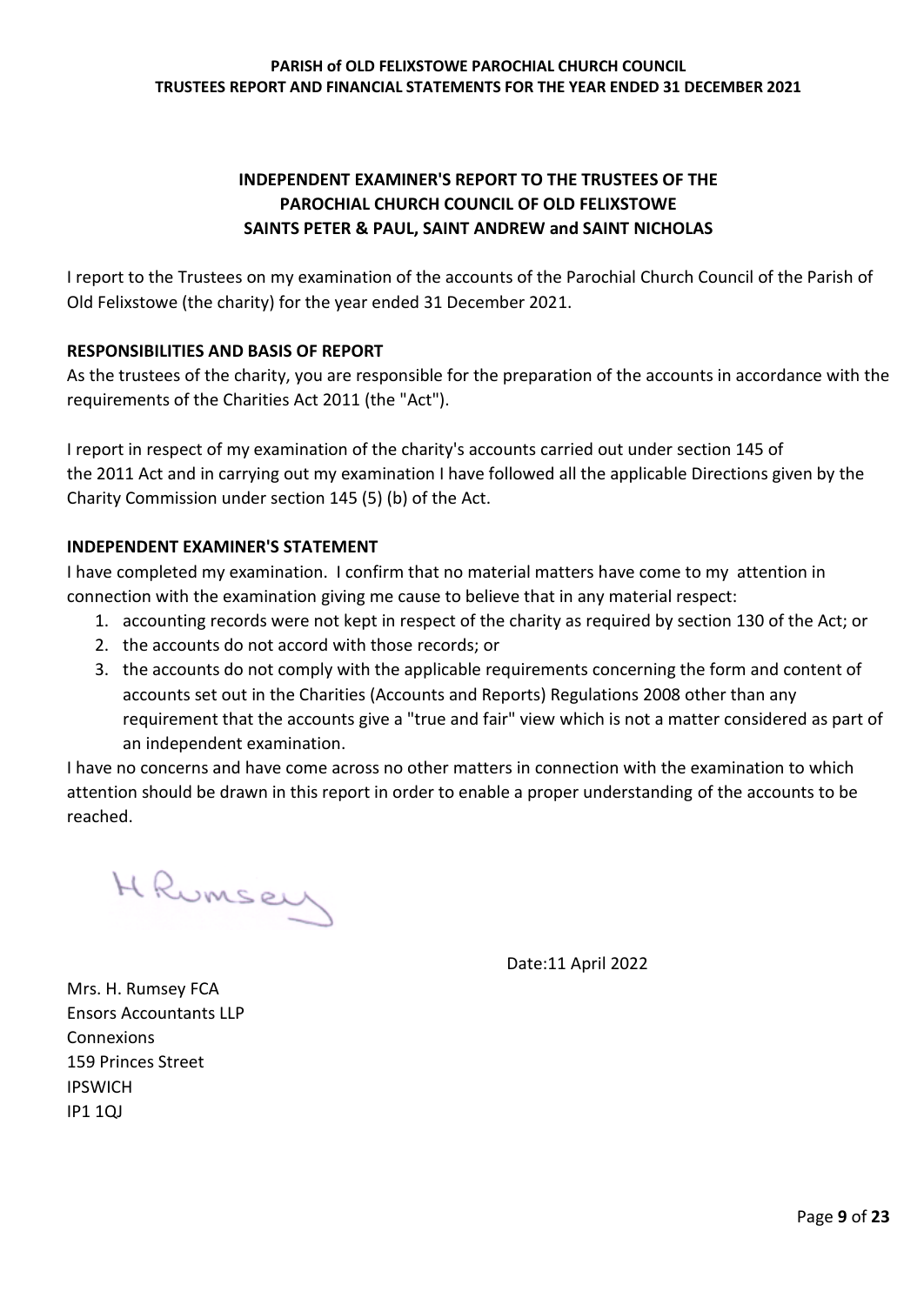# **INDEPENDENT EXAMINER'S REPORT TO THE TRUSTEES OF THE PAROCHIAL CHURCH COUNCIL OF OLD FELIXSTOWE SAINTS PETER & PAUL, SAINT ANDREW and SAINT NICHOLAS**

I report to the Trustees on my examination of the accounts of the Parochial Church Council of the Parish of Old Felixstowe (the charity) for the year ended 31 December 2021.

### **RESPONSIBILITIES AND BASIS OF REPORT**

As the trustees of the charity, you are responsible for the preparation of the accounts in accordance with the requirements of the Charities Act 2011 (the "Act").

I report in respect of my examination of the charity's accounts carried out under section 145 of the 2011 Act and in carrying out my examination I have followed all the applicable Directions given by the Charity Commission under section 145 (5) (b) of the Act.

### **INDEPENDENT EXAMINER'S STATEMENT**

I have completed my examination. I confirm that no material matters have come to my attention in connection with the examination giving me cause to believe that in any material respect:

- 1. accounting records were not kept in respect of the charity as required by section 130 of the Act; or
- 2. the accounts do not accord with those records; or
- 3. the accounts do not comply with the applicable requirements concerning the form and content of accounts set out in the Charities (Accounts and Reports) Regulations 2008 other than any requirement that the accounts give a "true and fair" view which is not a matter considered as part of an independent examination.

I have no concerns and have come across no other matters in connection with the examination to which attention should be drawn in this report in order to enable a proper understanding of the accounts to be reached.

HRUMSEY

Date:11 April 2022

Mrs. H. Rumsey FCA Ensors Accountants LLP Connexions 159 Princes Street IPSWICH IP1 1QJ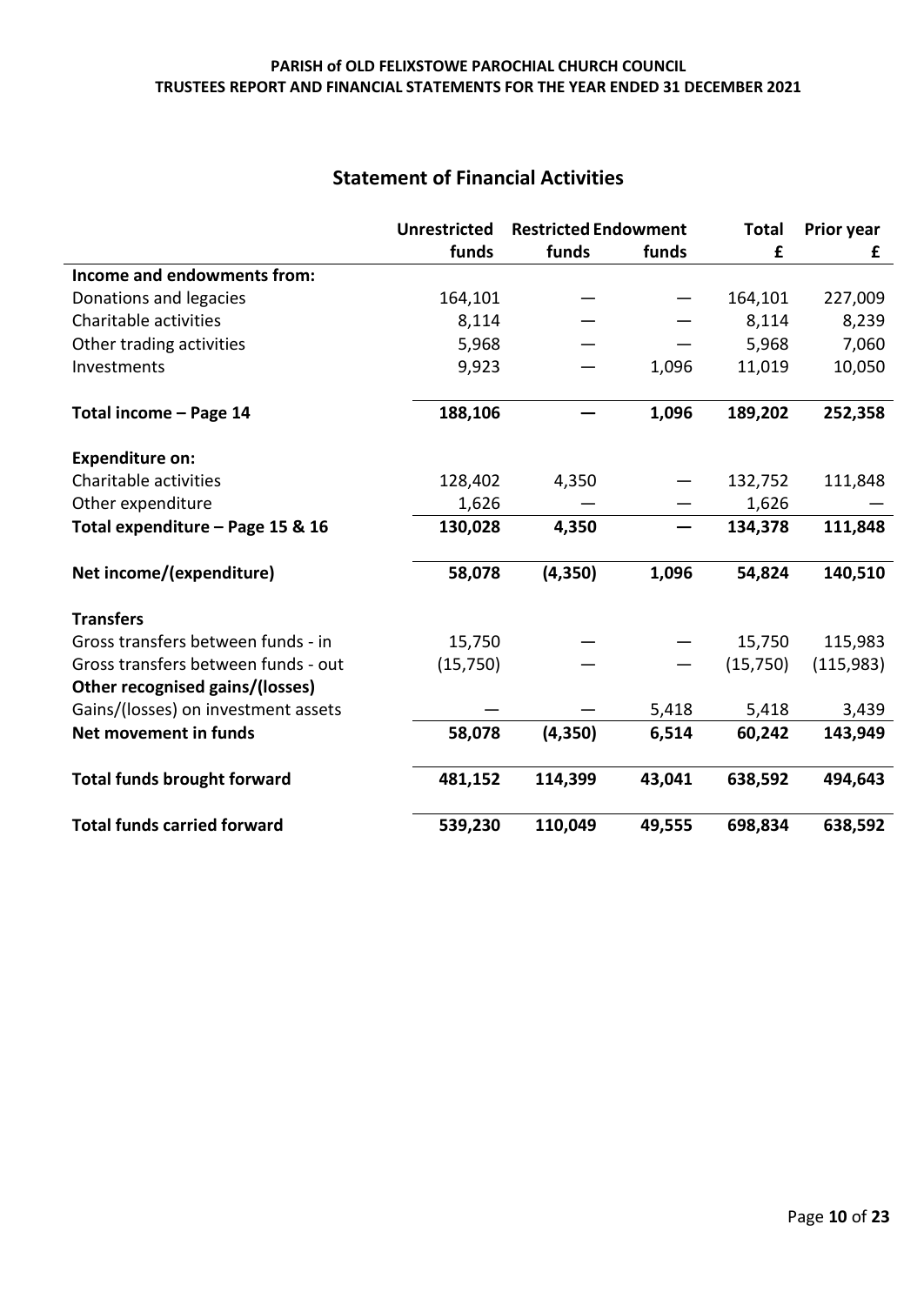# **Statement of Financial Activities**

|                                     | <b>Unrestricted</b> | <b>Restricted Endowment</b> |        | <b>Total</b> | Prior year |
|-------------------------------------|---------------------|-----------------------------|--------|--------------|------------|
|                                     | funds               | funds                       | funds  | £            | £          |
| Income and endowments from:         |                     |                             |        |              |            |
| Donations and legacies              | 164,101             |                             |        | 164,101      | 227,009    |
| Charitable activities               | 8,114               |                             |        | 8,114        | 8,239      |
| Other trading activities            | 5,968               |                             |        | 5,968        | 7,060      |
| Investments                         | 9,923               |                             | 1,096  | 11,019       | 10,050     |
| Total income - Page 14              | 188,106             |                             | 1,096  | 189,202      | 252,358    |
| <b>Expenditure on:</b>              |                     |                             |        |              |            |
| Charitable activities               | 128,402             | 4,350                       |        | 132,752      | 111,848    |
| Other expenditure                   | 1,626               |                             |        | 1,626        |            |
| Total expenditure - Page 15 & 16    | 130,028             | 4,350                       |        | 134,378      | 111,848    |
| Net income/(expenditure)            | 58,078              | (4, 350)                    | 1,096  | 54,824       | 140,510    |
| <b>Transfers</b>                    |                     |                             |        |              |            |
| Gross transfers between funds - in  | 15,750              |                             |        | 15,750       | 115,983    |
| Gross transfers between funds - out | (15, 750)           |                             |        | (15,750)     | (115,983)  |
| Other recognised gains/(losses)     |                     |                             |        |              |            |
| Gains/(losses) on investment assets |                     |                             | 5,418  | 5,418        | 3,439      |
| Net movement in funds               | 58,078              | (4, 350)                    | 6,514  | 60,242       | 143,949    |
| <b>Total funds brought forward</b>  | 481,152             | 114,399                     | 43,041 | 638,592      | 494,643    |
| <b>Total funds carried forward</b>  | 539,230             | 110,049                     | 49,555 | 698,834      | 638,592    |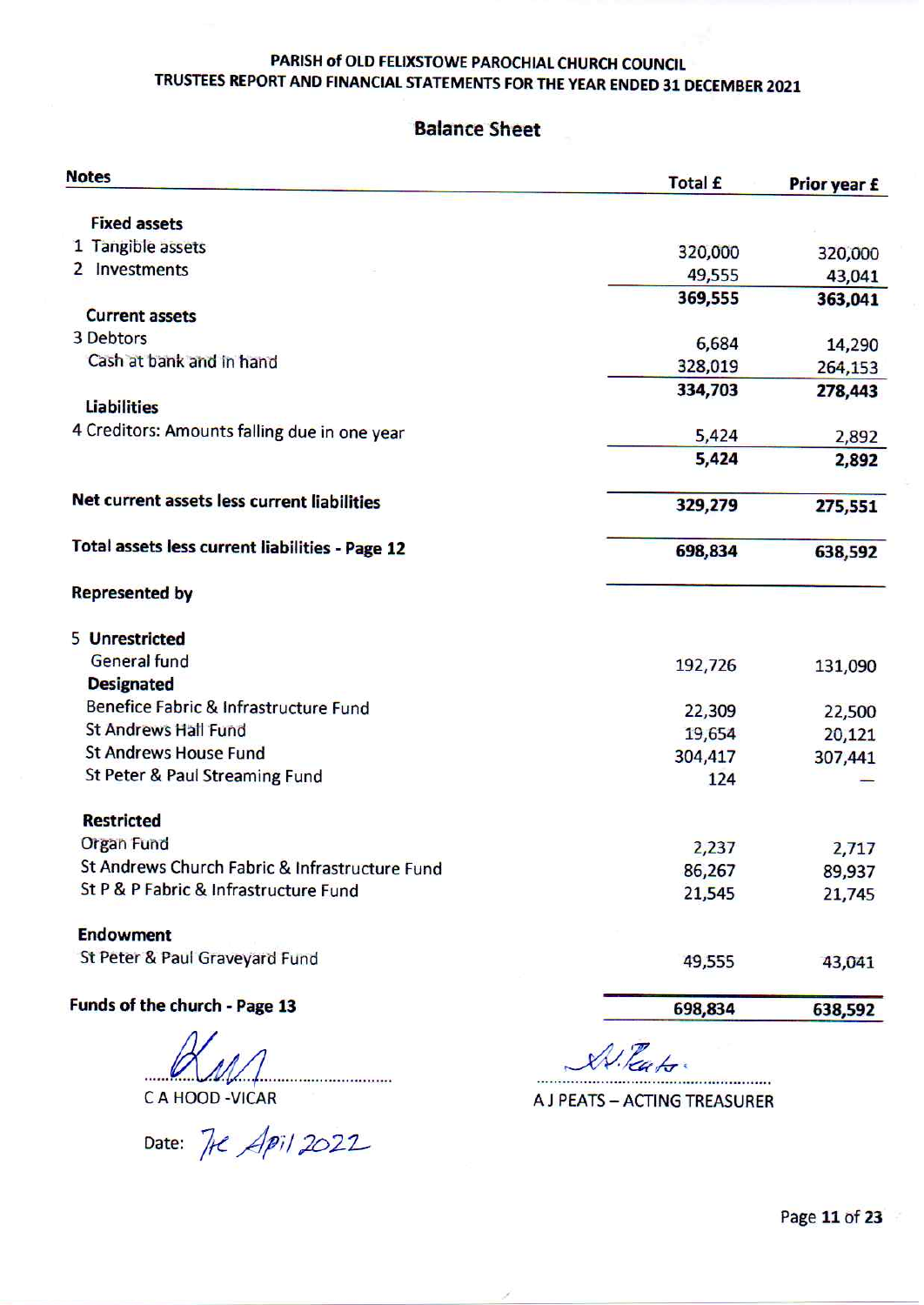# **Balance Sheet**

| <b>Notes</b>                                    | <b>Total £</b> | Prior year £ |
|-------------------------------------------------|----------------|--------------|
| <b>Fixed assets</b>                             |                |              |
| 1 Tangible assets                               | 320,000        |              |
| 2 Investments                                   | 49,555         | 320,000      |
|                                                 | 369,555        | 43,041       |
| <b>Current assets</b>                           |                | 363,041      |
| 3 Debtors                                       | 6,684          | 14,290       |
| Cash at bank and in hand                        | 328,019        | 264,153      |
|                                                 | 334,703        | 278,443      |
| <b>Liabilities</b>                              |                |              |
| 4 Creditors: Amounts falling due in one year    | 5,424          | 2,892        |
|                                                 | 5,424          | 2,892        |
| Net current assets less current liabilities     | 329,279        | 275,551      |
|                                                 |                |              |
| Total assets less current liabilities - Page 12 | 698,834        | 638,592      |
| <b>Represented by</b>                           |                |              |
| 5 Unrestricted                                  |                |              |
| <b>General fund</b>                             | 192,726        | 131,090      |
| <b>Designated</b>                               |                |              |
| Benefice Fabric & Infrastructure Fund           | 22,309         | 22,500       |
| <b>St Andrews Hall Fund</b>                     | 19,654         | 20,121       |
| <b>St Andrews House Fund</b>                    | 304,417        | 307,441      |
| St Peter & Paul Streaming Fund                  | 124            |              |
| <b>Restricted</b>                               |                |              |
| <b>Organ Fund</b>                               | 2,237          | 2,717        |
| St Andrews Church Fabric & Infrastructure Fund  | 86,267         | 89,937       |
| St P & P Fabric & Infrastructure Fund           | 21,545         | 21,745       |
| <b>Endowment</b>                                |                |              |
| St Peter & Paul Graveyard Fund                  | 49,555         | 43,041       |
| Funds of the church - Page 13                   | 698,834        | 638,592      |
|                                                 |                |              |

 $M$ 

C A HOOD - VICAR

Date: Tre Apil 2022

W. Pat. -------------------------A J PEATS - ACTING TREASURER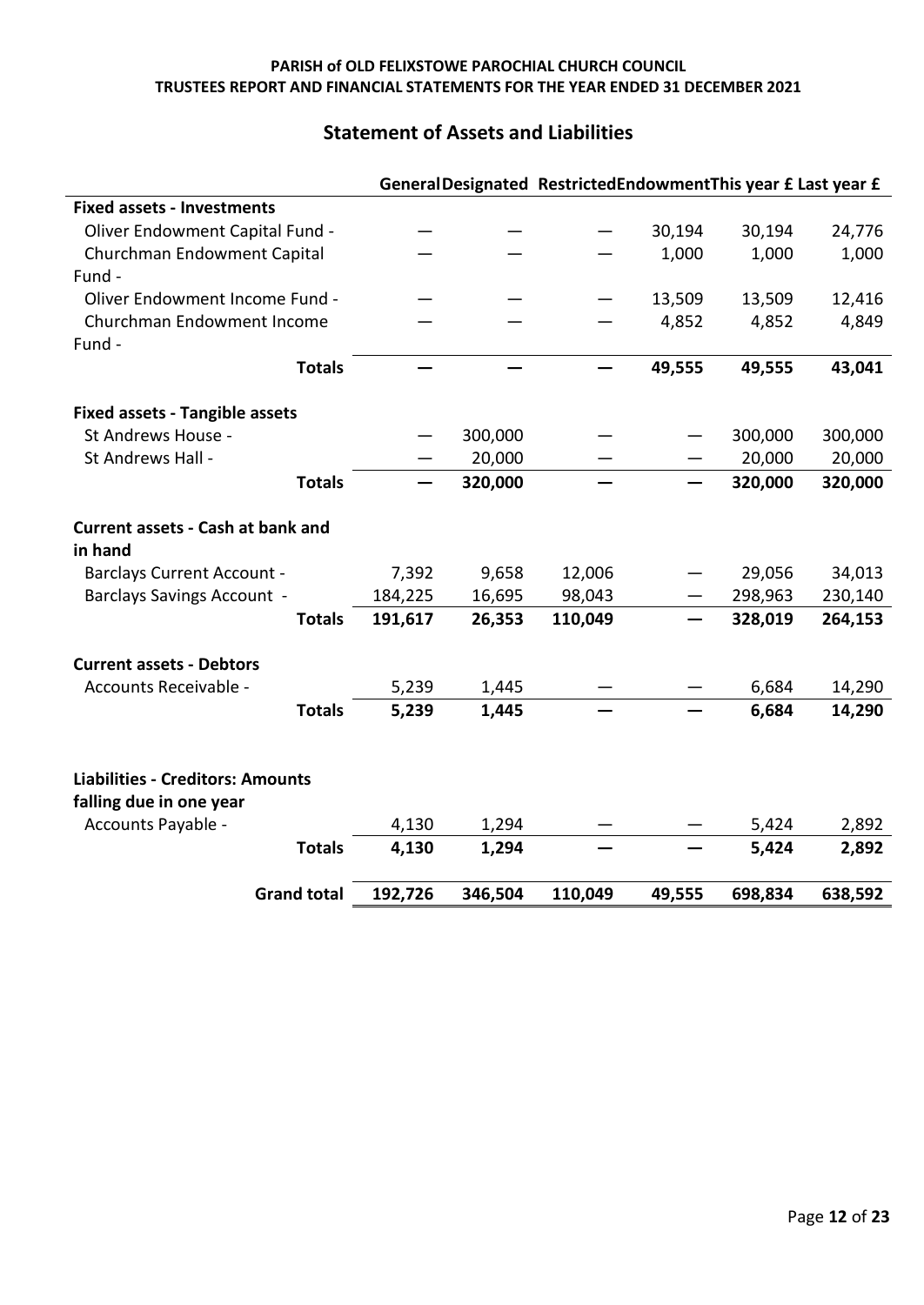# **Statement of Assets and Liabilities**

|                                          |         |         | General Designated Restricted Endowment This year £ Last year £ |        |         |         |
|------------------------------------------|---------|---------|-----------------------------------------------------------------|--------|---------|---------|
| <b>Fixed assets - Investments</b>        |         |         |                                                                 |        |         |         |
| Oliver Endowment Capital Fund -          |         |         |                                                                 | 30,194 | 30,194  | 24,776  |
| Churchman Endowment Capital              |         |         |                                                                 | 1,000  | 1,000   | 1,000   |
| Fund -                                   |         |         |                                                                 |        |         |         |
| Oliver Endowment Income Fund -           |         |         |                                                                 | 13,509 | 13,509  | 12,416  |
| Churchman Endowment Income               |         |         |                                                                 | 4,852  | 4,852   | 4,849   |
| Fund -                                   |         |         |                                                                 |        |         |         |
| <b>Totals</b>                            |         |         |                                                                 | 49,555 | 49,555  | 43,041  |
| <b>Fixed assets - Tangible assets</b>    |         |         |                                                                 |        |         |         |
| St Andrews House -                       |         | 300,000 |                                                                 |        | 300,000 | 300,000 |
| St Andrews Hall -                        |         | 20,000  |                                                                 |        | 20,000  | 20,000  |
| <b>Totals</b>                            |         | 320,000 |                                                                 |        | 320,000 | 320,000 |
| <b>Current assets - Cash at bank and</b> |         |         |                                                                 |        |         |         |
| in hand                                  |         |         |                                                                 |        |         |         |
| <b>Barclays Current Account -</b>        | 7,392   | 9,658   | 12,006                                                          |        | 29,056  | 34,013  |
| <b>Barclays Savings Account -</b>        | 184,225 | 16,695  | 98,043                                                          |        | 298,963 | 230,140 |
| <b>Totals</b>                            | 191,617 | 26,353  | 110,049                                                         |        | 328,019 | 264,153 |
| <b>Current assets - Debtors</b>          |         |         |                                                                 |        |         |         |
| Accounts Receivable -                    | 5,239   | 1,445   |                                                                 |        | 6,684   | 14,290  |
| <b>Totals</b>                            | 5,239   | 1,445   |                                                                 |        | 6,684   | 14,290  |
|                                          |         |         |                                                                 |        |         |         |
|                                          |         |         |                                                                 |        |         |         |
| <b>Liabilities - Creditors: Amounts</b>  |         |         |                                                                 |        |         |         |
| falling due in one year                  |         |         |                                                                 |        |         |         |
| Accounts Payable -                       | 4,130   | 1,294   |                                                                 |        | 5,424   | 2,892   |
| <b>Totals</b>                            | 4,130   | 1,294   |                                                                 |        | 5,424   | 2,892   |
| <b>Grand total</b>                       | 192,726 | 346,504 | 110,049                                                         | 49,555 | 698,834 | 638,592 |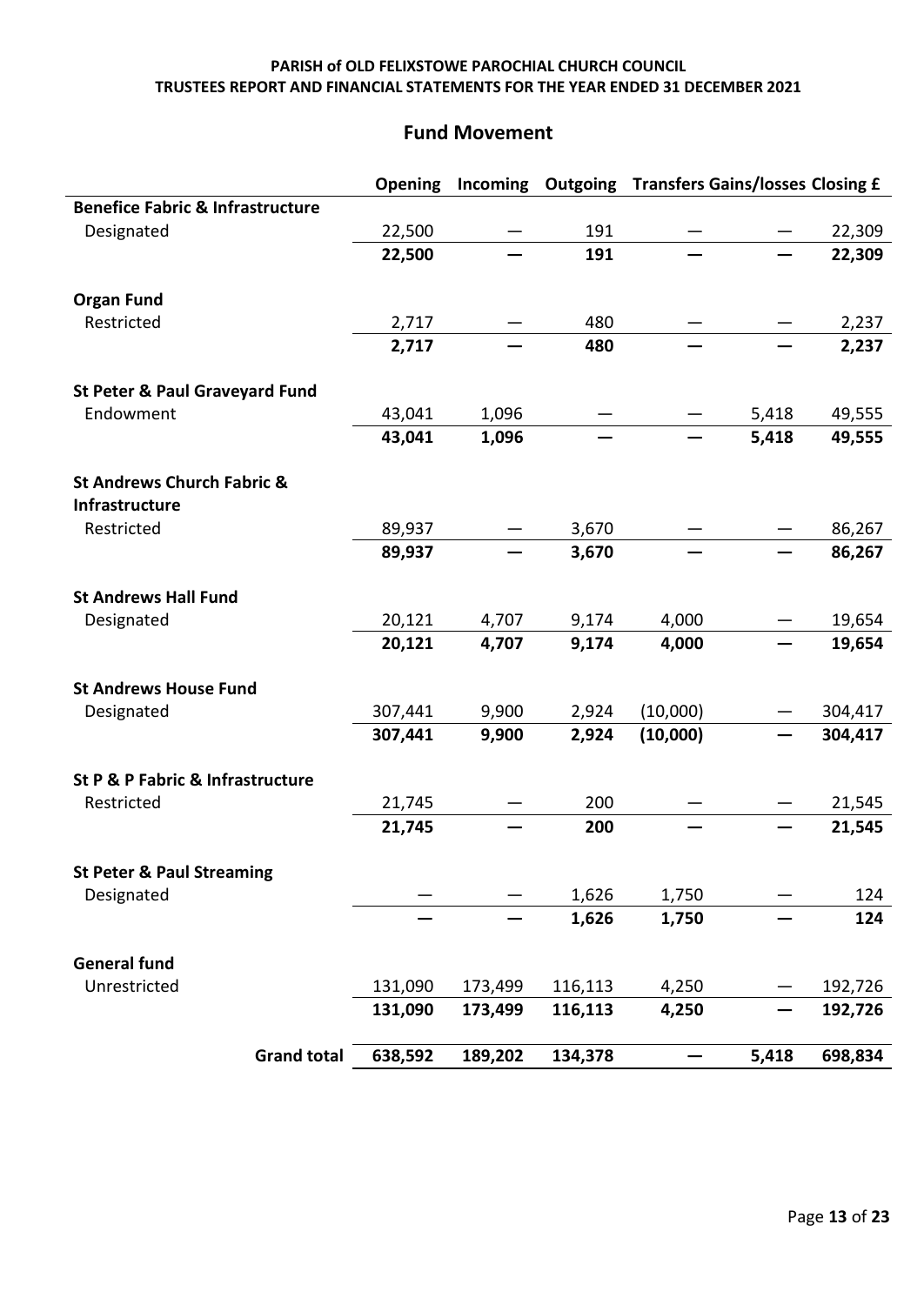## **Fund Movement**

|                                                         | Opening | Incoming | <b>Outgoing</b> | <b>Transfers Gains/losses Closing £</b> |       |         |
|---------------------------------------------------------|---------|----------|-----------------|-----------------------------------------|-------|---------|
| <b>Benefice Fabric &amp; Infrastructure</b>             |         |          |                 |                                         |       |         |
| Designated                                              | 22,500  |          | 191             |                                         |       | 22,309  |
|                                                         | 22,500  |          | 191             |                                         |       | 22,309  |
| <b>Organ Fund</b>                                       |         |          |                 |                                         |       |         |
| Restricted                                              | 2,717   |          | 480             |                                         |       | 2,237   |
|                                                         | 2,717   |          | 480             |                                         |       | 2,237   |
| <b>St Peter &amp; Paul Graveyard Fund</b>               |         |          |                 |                                         |       |         |
| Endowment                                               | 43,041  | 1,096    |                 |                                         | 5,418 | 49,555  |
|                                                         | 43,041  | 1,096    |                 |                                         | 5,418 | 49,555  |
| <b>St Andrews Church Fabric &amp;</b><br>Infrastructure |         |          |                 |                                         |       |         |
| Restricted                                              | 89,937  |          | 3,670           |                                         |       | 86,267  |
|                                                         | 89,937  |          | 3,670           |                                         |       | 86,267  |
| <b>St Andrews Hall Fund</b>                             |         |          |                 |                                         |       |         |
| Designated                                              | 20,121  | 4,707    | 9,174           | 4,000                                   |       | 19,654  |
|                                                         | 20,121  | 4,707    | 9,174           | 4,000                                   |       | 19,654  |
| <b>St Andrews House Fund</b>                            |         |          |                 |                                         |       |         |
| Designated                                              | 307,441 | 9,900    | 2,924           | (10,000)                                |       | 304,417 |
|                                                         | 307,441 | 9,900    | 2,924           | (10,000)                                |       | 304,417 |
| St P & P Fabric & Infrastructure                        |         |          |                 |                                         |       |         |
| Restricted                                              | 21,745  |          | 200             |                                         |       | 21,545  |
|                                                         | 21,745  |          | 200             |                                         |       | 21,545  |
| <b>St Peter &amp; Paul Streaming</b>                    |         |          |                 |                                         |       |         |
| Designated                                              |         |          | 1,626           | 1,750                                   |       | 124     |
|                                                         |         |          | 1,626           | 1,750                                   |       | 124     |
| <b>General fund</b>                                     |         |          |                 |                                         |       |         |
| Unrestricted                                            | 131,090 | 173,499  | 116,113         | 4,250                                   |       | 192,726 |
|                                                         | 131,090 | 173,499  | 116,113         | 4,250                                   |       | 192,726 |
| <b>Grand total</b>                                      | 638,592 | 189,202  | 134,378         |                                         | 5,418 | 698,834 |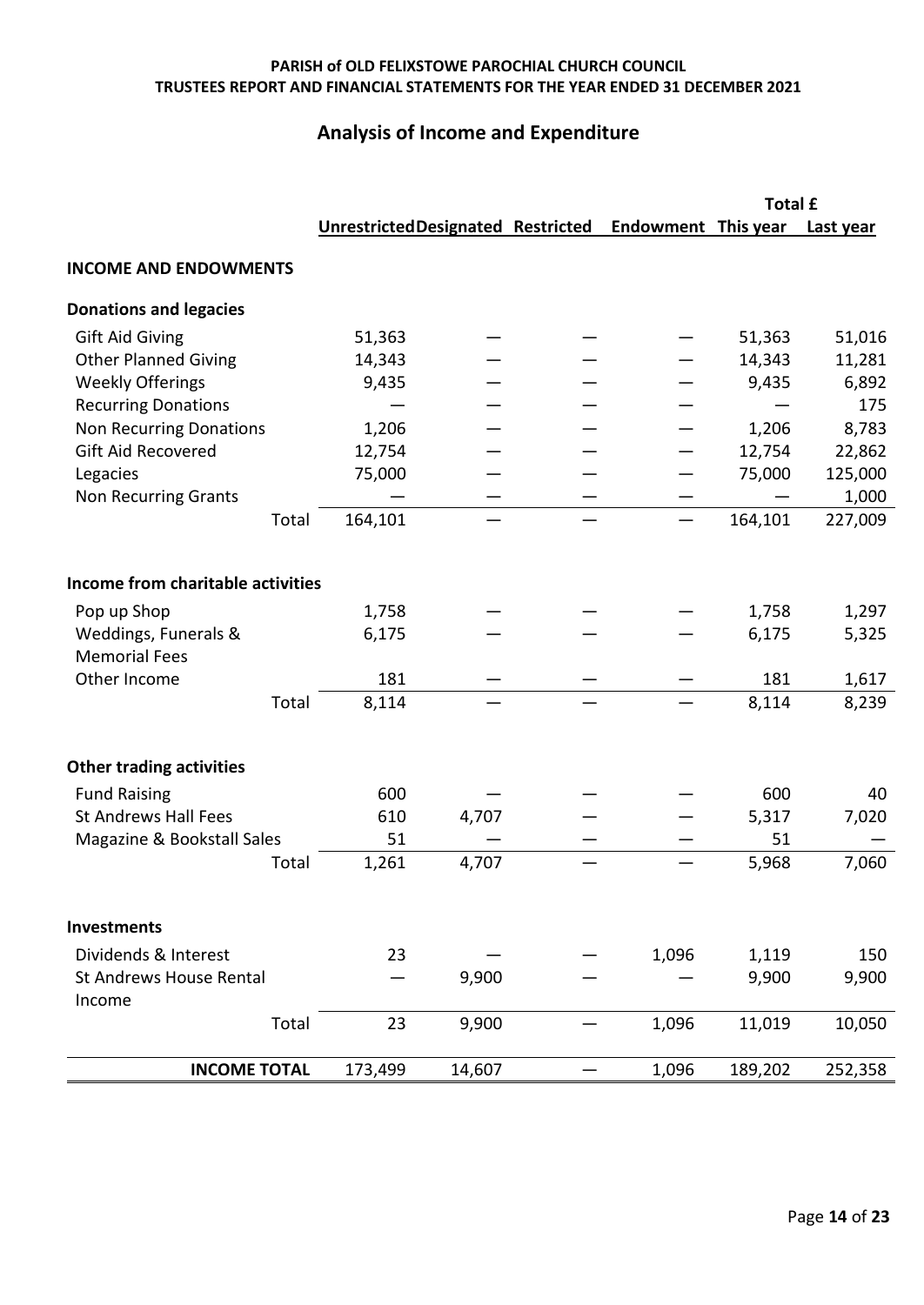# **Analysis of Income and Expenditure**

|                                              |       |                                    |        |                            | <b>Total £</b> |           |
|----------------------------------------------|-------|------------------------------------|--------|----------------------------|----------------|-----------|
|                                              |       | Unrestricted Designated Restricted |        | <b>Endowment This year</b> |                | Last year |
| <b>INCOME AND ENDOWMENTS</b>                 |       |                                    |        |                            |                |           |
| <b>Donations and legacies</b>                |       |                                    |        |                            |                |           |
| <b>Gift Aid Giving</b>                       |       | 51,363                             |        |                            | 51,363         | 51,016    |
| <b>Other Planned Giving</b>                  |       | 14,343                             |        |                            | 14,343         | 11,281    |
| <b>Weekly Offerings</b>                      |       | 9,435                              |        |                            | 9,435          | 6,892     |
| <b>Recurring Donations</b>                   |       |                                    |        |                            |                | 175       |
| <b>Non Recurring Donations</b>               |       | 1,206                              |        |                            | 1,206          | 8,783     |
| Gift Aid Recovered                           |       | 12,754                             |        |                            | 12,754         | 22,862    |
| Legacies                                     |       | 75,000                             |        |                            | 75,000         | 125,000   |
| <b>Non Recurring Grants</b>                  |       |                                    |        |                            |                | 1,000     |
|                                              | Total | 164,101                            |        |                            | 164,101        | 227,009   |
| Income from charitable activities            |       |                                    |        |                            |                |           |
| Pop up Shop                                  |       | 1,758                              |        |                            | 1,758          | 1,297     |
| Weddings, Funerals &<br><b>Memorial Fees</b> |       | 6,175                              |        |                            | 6,175          | 5,325     |
| Other Income                                 |       | 181                                |        |                            | 181            | 1,617     |
|                                              | Total | 8,114                              |        |                            | 8,114          | 8,239     |
| <b>Other trading activities</b>              |       |                                    |        |                            |                |           |
| <b>Fund Raising</b>                          |       | 600                                |        |                            | 600            | 40        |
| <b>St Andrews Hall Fees</b>                  |       | 610                                | 4,707  |                            | 5,317          | 7,020     |
| Magazine & Bookstall Sales                   |       | 51                                 |        |                            | 51             |           |
|                                              | Total | 1,261                              | 4,707  |                            | 5,968          | 7,060     |
| <b>Investments</b>                           |       |                                    |        |                            |                |           |
|                                              |       |                                    |        |                            |                |           |
| Dividends & Interest                         |       | 23                                 |        | 1,096                      | 1,119          | 150       |
| <b>St Andrews House Rental</b><br>Income     |       |                                    | 9,900  |                            | 9,900          | 9,900     |
|                                              | Total | 23                                 | 9,900  | 1,096                      | 11,019         | 10,050    |
| <b>INCOME TOTAL</b>                          |       | 173,499                            | 14,607 | 1,096                      | 189,202        | 252,358   |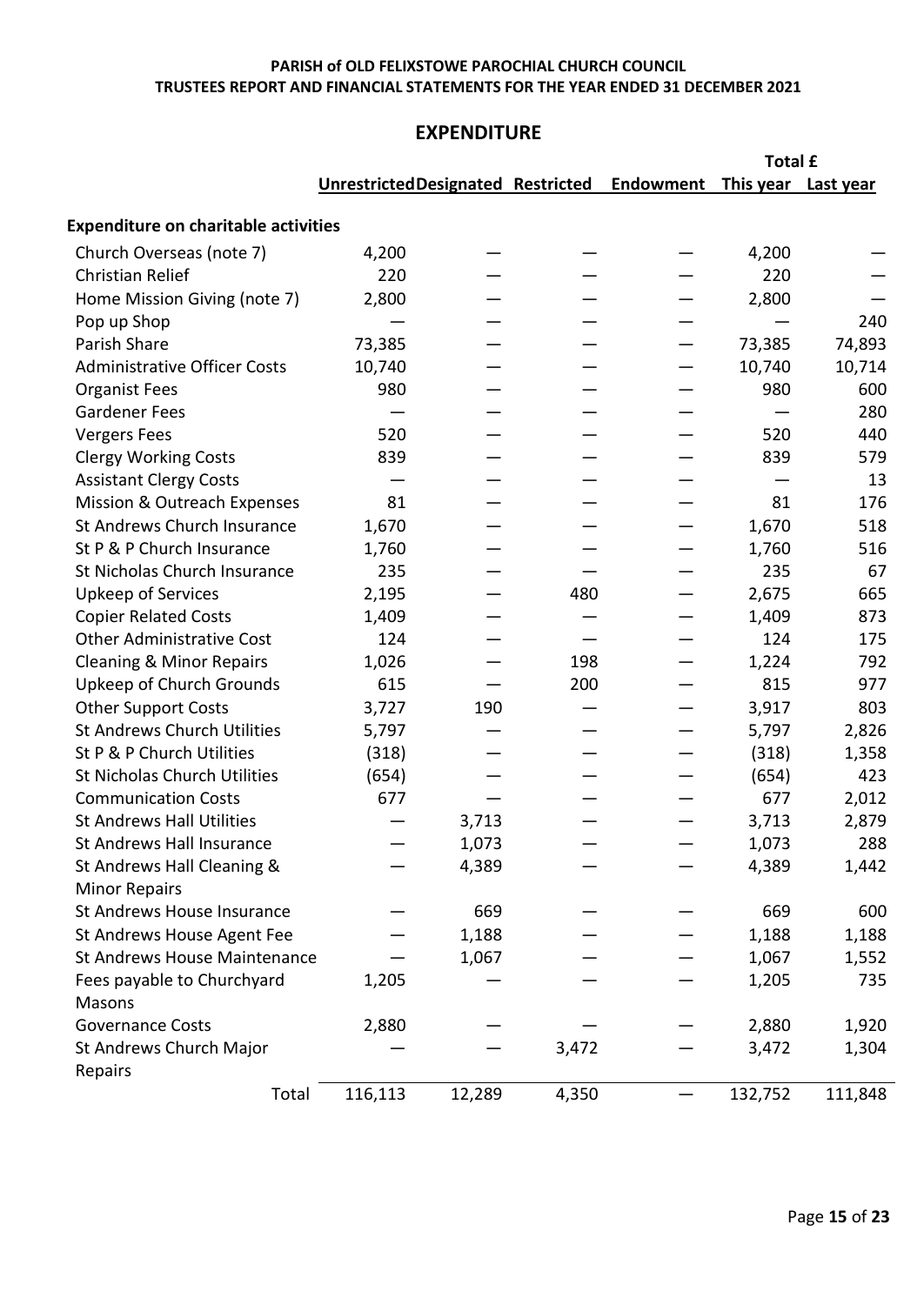# **EXPENDITURE**

|                                             |                                    |        |       |           | <b>Total £</b>      |         |
|---------------------------------------------|------------------------------------|--------|-------|-----------|---------------------|---------|
|                                             | Unrestricted Designated Restricted |        |       | Endowment | This year Last year |         |
| <b>Expenditure on charitable activities</b> |                                    |        |       |           |                     |         |
| Church Overseas (note 7)                    | 4,200                              |        |       |           | 4,200               |         |
| <b>Christian Relief</b>                     | 220                                |        |       |           | 220                 |         |
| Home Mission Giving (note 7)                | 2,800                              |        |       |           | 2,800               |         |
| Pop up Shop                                 |                                    |        |       |           |                     | 240     |
| Parish Share                                | 73,385                             |        |       |           | 73,385              | 74,893  |
| <b>Administrative Officer Costs</b>         | 10,740                             |        |       |           | 10,740              | 10,714  |
| <b>Organist Fees</b>                        | 980                                |        |       |           | 980                 | 600     |
| <b>Gardener Fees</b>                        |                                    |        |       |           |                     | 280     |
| <b>Vergers Fees</b>                         | 520                                |        |       |           | 520                 | 440     |
| <b>Clergy Working Costs</b>                 | 839                                |        |       |           | 839                 | 579     |
| <b>Assistant Clergy Costs</b>               |                                    |        |       |           |                     | 13      |
| Mission & Outreach Expenses                 | 81                                 |        |       |           | 81                  | 176     |
| St Andrews Church Insurance                 | 1,670                              |        |       |           | 1,670               | 518     |
| St P & P Church Insurance                   | 1,760                              |        |       |           | 1,760               | 516     |
| St Nicholas Church Insurance                | 235                                |        |       |           | 235                 | 67      |
| <b>Upkeep of Services</b>                   | 2,195                              |        | 480   |           | 2,675               | 665     |
| <b>Copier Related Costs</b>                 | 1,409                              |        |       |           | 1,409               | 873     |
| <b>Other Administrative Cost</b>            | 124                                |        |       |           | 124                 | 175     |
| <b>Cleaning &amp; Minor Repairs</b>         | 1,026                              |        | 198   |           | 1,224               | 792     |
| Upkeep of Church Grounds                    | 615                                |        | 200   |           | 815                 | 977     |
| <b>Other Support Costs</b>                  | 3,727                              | 190    |       |           | 3,917               | 803     |
| <b>St Andrews Church Utilities</b>          | 5,797                              |        |       |           | 5,797               | 2,826   |
| St P & P Church Utilities                   | (318)                              |        |       |           | (318)               | 1,358   |
| St Nicholas Church Utilities                | (654)                              |        |       |           | (654)               | 423     |
| <b>Communication Costs</b>                  | 677                                |        |       |           | 677                 | 2,012   |
| <b>St Andrews Hall Utilities</b>            |                                    | 3,713  |       |           | 3,713               | 2,879   |
| St Andrews Hall Insurance                   |                                    | 1,073  |       |           | 1,073               | 288     |
| St Andrews Hall Cleaning &                  |                                    | 4,389  |       |           | 4,389               | 1,442   |
| <b>Minor Repairs</b>                        |                                    |        |       |           |                     |         |
| St Andrews House Insurance                  |                                    | 669    |       |           | 669                 | 600     |
| St Andrews House Agent Fee                  |                                    | 1,188  |       |           | 1,188               | 1,188   |
| St Andrews House Maintenance                |                                    | 1,067  |       |           | 1,067               | 1,552   |
| Fees payable to Churchyard                  | 1,205                              |        |       |           | 1,205               | 735     |
| Masons                                      |                                    |        |       |           |                     |         |
| <b>Governance Costs</b>                     | 2,880                              |        |       |           | 2,880               | 1,920   |
| St Andrews Church Major                     |                                    |        | 3,472 |           | 3,472               | 1,304   |
| Repairs                                     |                                    |        |       |           |                     |         |
| Total                                       | 116,113                            | 12,289 | 4,350 |           | 132,752             | 111,848 |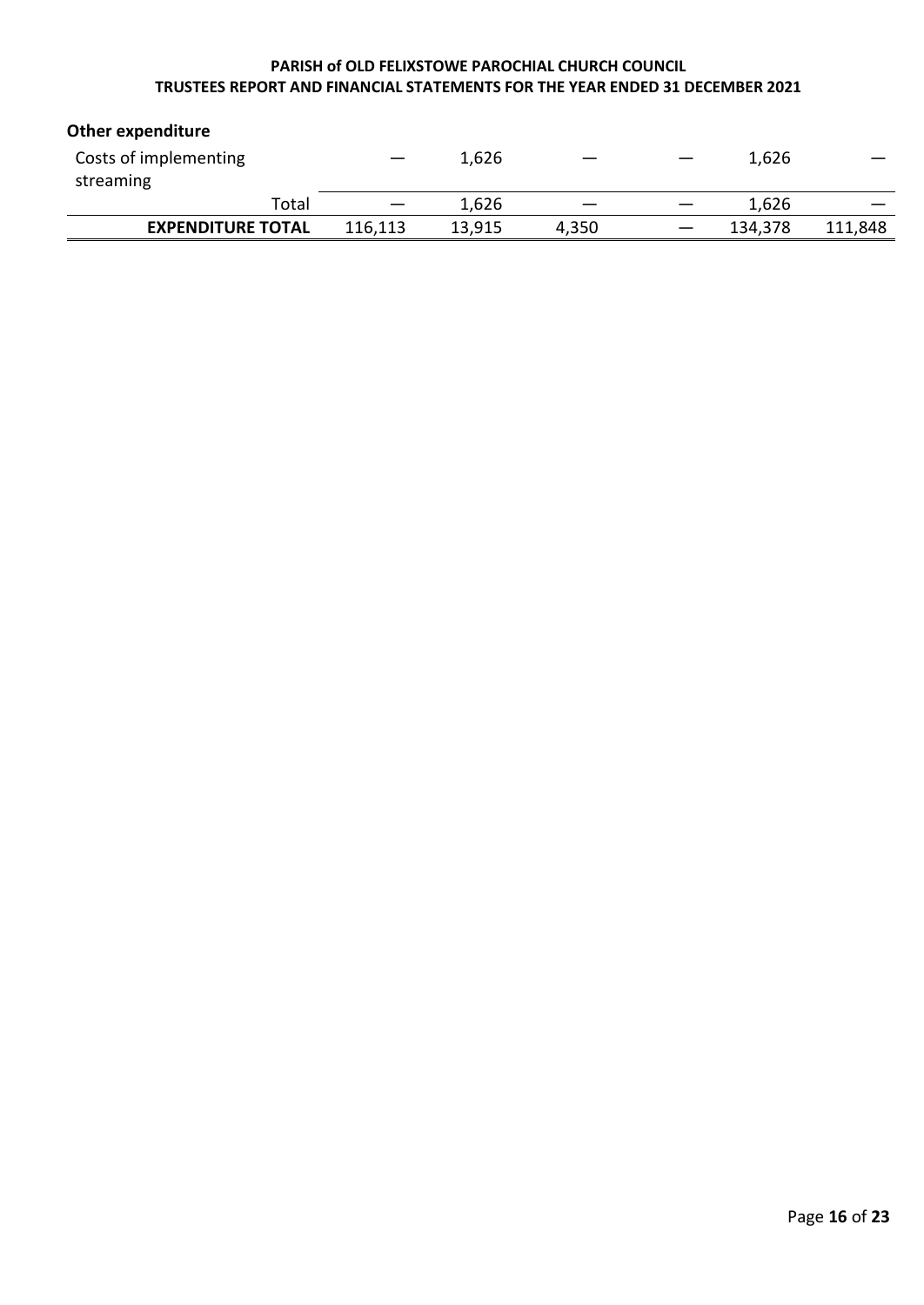| <b>Other expenditure</b>           |                          |        |       |         |         |
|------------------------------------|--------------------------|--------|-------|---------|---------|
| Costs of implementing<br>streaming |                          | 1,626  |       | 1,626   |         |
| Total                              | $\overline{\phantom{m}}$ | 1,626  |       | 1,626   |         |
| <b>EXPENDITURE TOTAL</b>           | 116,113                  | 13,915 | 4,350 | 134,378 | 111,848 |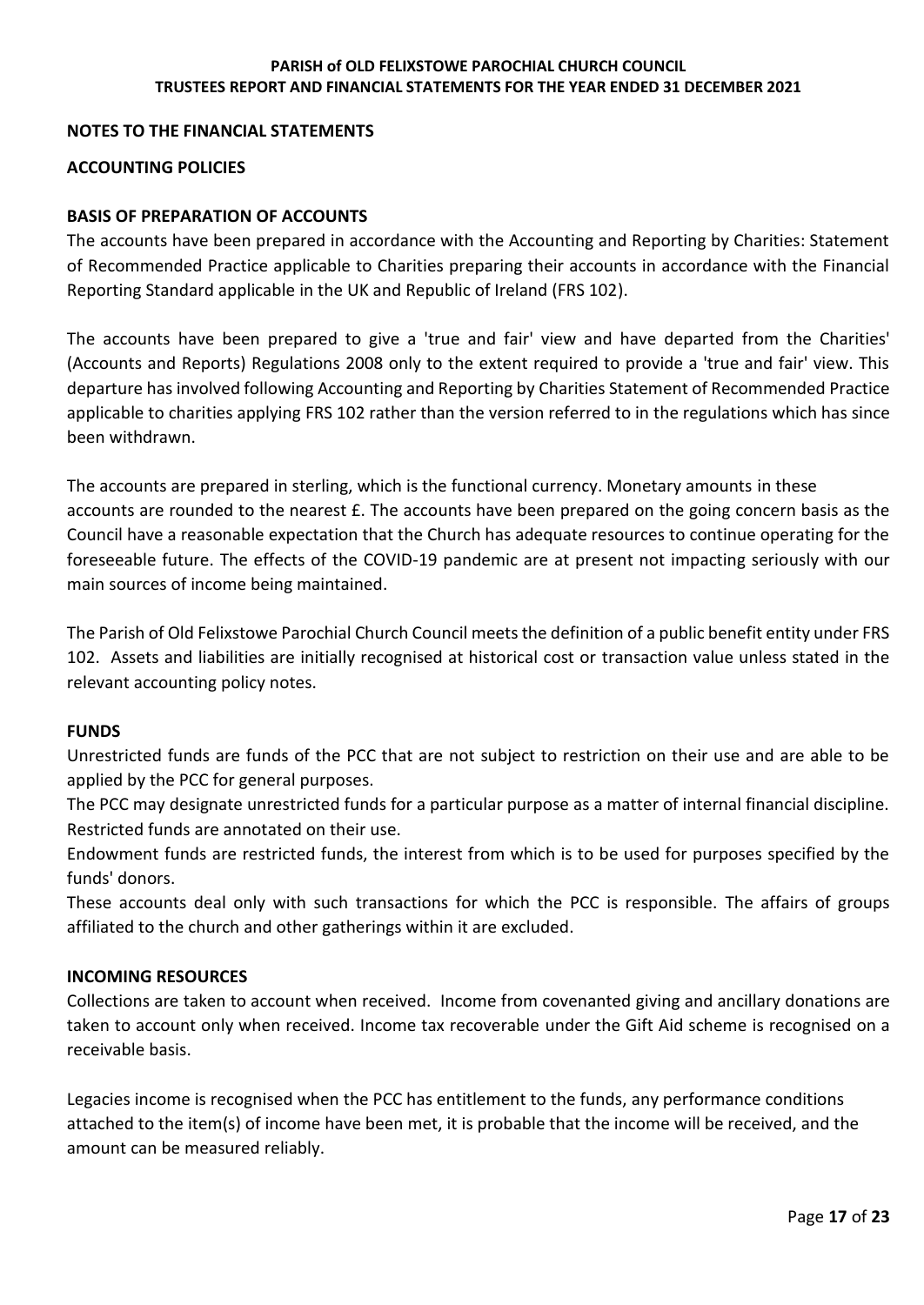#### **NOTES TO THE FINANCIAL STATEMENTS**

#### **ACCOUNTING POLICIES**

#### **BASIS OF PREPARATION OF ACCOUNTS**

The accounts have been prepared in accordance with the Accounting and Reporting by Charities: Statement of Recommended Practice applicable to Charities preparing their accounts in accordance with the Financial Reporting Standard applicable in the UK and Republic of Ireland (FRS 102).

The accounts have been prepared to give a 'true and fair' view and have departed from the Charities' (Accounts and Reports) Regulations 2008 only to the extent required to provide a 'true and fair' view. This departure has involved following Accounting and Reporting by Charities Statement of Recommended Practice applicable to charities applying FRS 102 rather than the version referred to in the regulations which has since been withdrawn.

The accounts are prepared in sterling, which is the functional currency. Monetary amounts in these accounts are rounded to the nearest £. The accounts have been prepared on the going concern basis as the Council have a reasonable expectation that the Church has adequate resources to continue operating for the foreseeable future. The effects of the COVID-19 pandemic are at present not impacting seriously with our main sources of income being maintained.

The Parish of Old Felixstowe Parochial Church Council meets the definition of a public benefit entity under FRS 102. Assets and liabilities are initially recognised at historical cost or transaction value unless stated in the relevant accounting policy notes.

#### **FUNDS**

Unrestricted funds are funds of the PCC that are not subject to restriction on their use and are able to be applied by the PCC for general purposes.

The PCC may designate unrestricted funds for a particular purpose as a matter of internal financial discipline. Restricted funds are annotated on their use.

Endowment funds are restricted funds, the interest from which is to be used for purposes specified by the funds' donors.

These accounts deal only with such transactions for which the PCC is responsible. The affairs of groups affiliated to the church and other gatherings within it are excluded.

#### **INCOMING RESOURCES**

Collections are taken to account when received. Income from covenanted giving and ancillary donations are taken to account only when received. Income tax recoverable under the Gift Aid scheme is recognised on a receivable basis.

Legacies income is recognised when the PCC has entitlement to the funds, any performance conditions attached to the item(s) of income have been met, it is probable that the income will be received, and the amount can be measured reliably.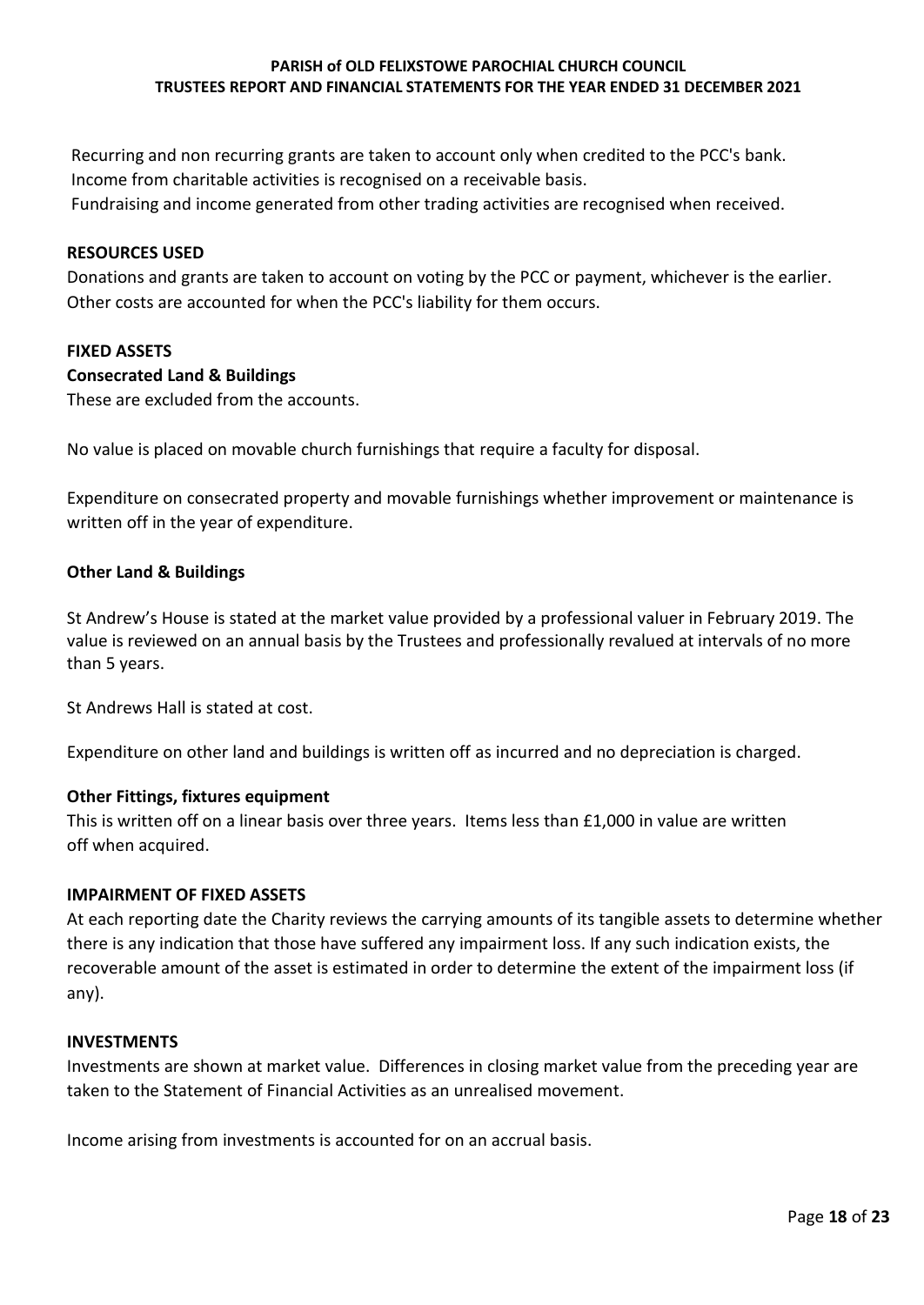Recurring and non recurring grants are taken to account only when credited to the PCC's bank. Income from charitable activities is recognised on a receivable basis.

Fundraising and income generated from other trading activities are recognised when received.

#### **RESOURCES USED**

Donations and grants are taken to account on voting by the PCC or payment, whichever is the earlier. Other costs are accounted for when the PCC's liability for them occurs.

#### **FIXED ASSETS**

#### **Consecrated Land & Buildings**

These are excluded from the accounts.

No value is placed on movable church furnishings that require a faculty for disposal.

Expenditure on consecrated property and movable furnishings whether improvement or maintenance is written off in the year of expenditure.

#### **Other Land & Buildings**

St Andrew's House is stated at the market value provided by a professional valuer in February 2019. The value is reviewed on an annual basis by the Trustees and professionally revalued at intervals of no more than 5 years.

St Andrews Hall is stated at cost.

Expenditure on other land and buildings is written off as incurred and no depreciation is charged.

#### **Other Fittings, fixtures equipment**

This is written off on a linear basis over three years. Items less than £1,000 in value are written off when acquired.

#### **IMPAIRMENT OF FIXED ASSETS**

At each reporting date the Charity reviews the carrying amounts of its tangible assets to determine whether there is any indication that those have suffered any impairment loss. If any such indication exists, the recoverable amount of the asset is estimated in order to determine the extent of the impairment loss (if any).

#### **INVESTMENTS**

Investments are shown at market value. Differences in closing market value from the preceding year are taken to the Statement of Financial Activities as an unrealised movement.

Income arising from investments is accounted for on an accrual basis.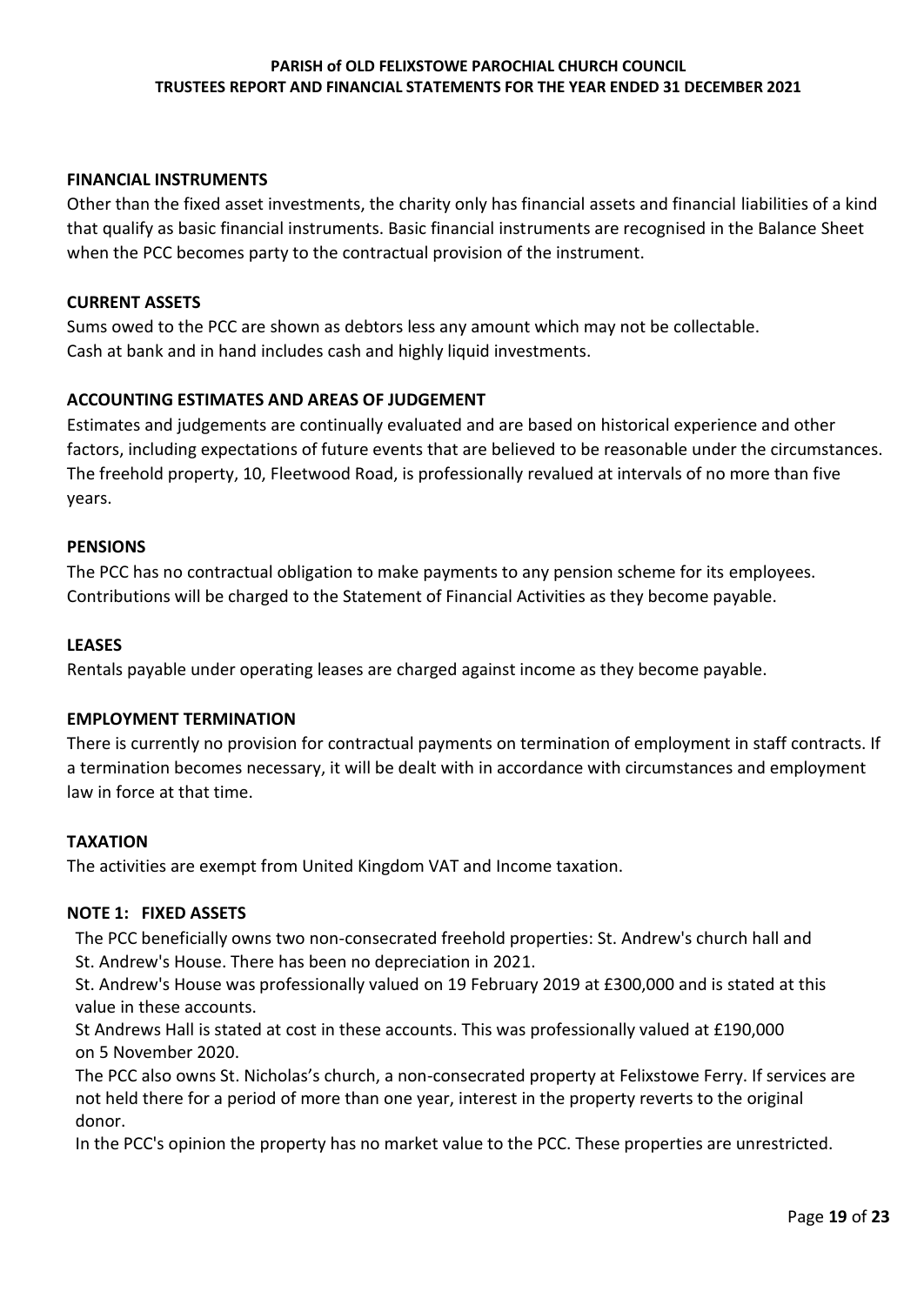#### **FINANCIAL INSTRUMENTS**

Other than the fixed asset investments, the charity only has financial assets and financial liabilities of a kind that qualify as basic financial instruments. Basic financial instruments are recognised in the Balance Sheet when the PCC becomes party to the contractual provision of the instrument.

#### **CURRENT ASSETS**

Sums owed to the PCC are shown as debtors less any amount which may not be collectable. Cash at bank and in hand includes cash and highly liquid investments.

#### **ACCOUNTING ESTIMATES AND AREAS OF JUDGEMENT**

Estimates and judgements are continually evaluated and are based on historical experience and other factors, including expectations of future events that are believed to be reasonable under the circumstances. The freehold property, 10, Fleetwood Road, is professionally revalued at intervals of no more than five years.

#### **PENSIONS**

The PCC has no contractual obligation to make payments to any pension scheme for its employees. Contributions will be charged to the Statement of Financial Activities as they become payable.

#### **LEASES**

Rentals payable under operating leases are charged against income as they become payable.

#### **EMPLOYMENT TERMINATION**

There is currently no provision for contractual payments on termination of employment in staff contracts. If a termination becomes necessary, it will be dealt with in accordance with circumstances and employment law in force at that time.

#### **TAXATION**

The activities are exempt from United Kingdom VAT and Income taxation.

#### **NOTE 1: FIXED ASSETS**

The PCC beneficially owns two non-consecrated freehold properties: St. Andrew's church hall and St. Andrew's House. There has been no depreciation in 2021.

St. Andrew's House was professionally valued on 19 February 2019 at £300,000 and is stated at this value in these accounts.

St Andrews Hall is stated at cost in these accounts. This was professionally valued at £190,000 on 5 November 2020.

The PCC also owns St. Nicholas's church, a non-consecrated property at Felixstowe Ferry. If services are not held there for a period of more than one year, interest in the property reverts to the original donor.

In the PCC's opinion the property has no market value to the PCC. These properties are unrestricted.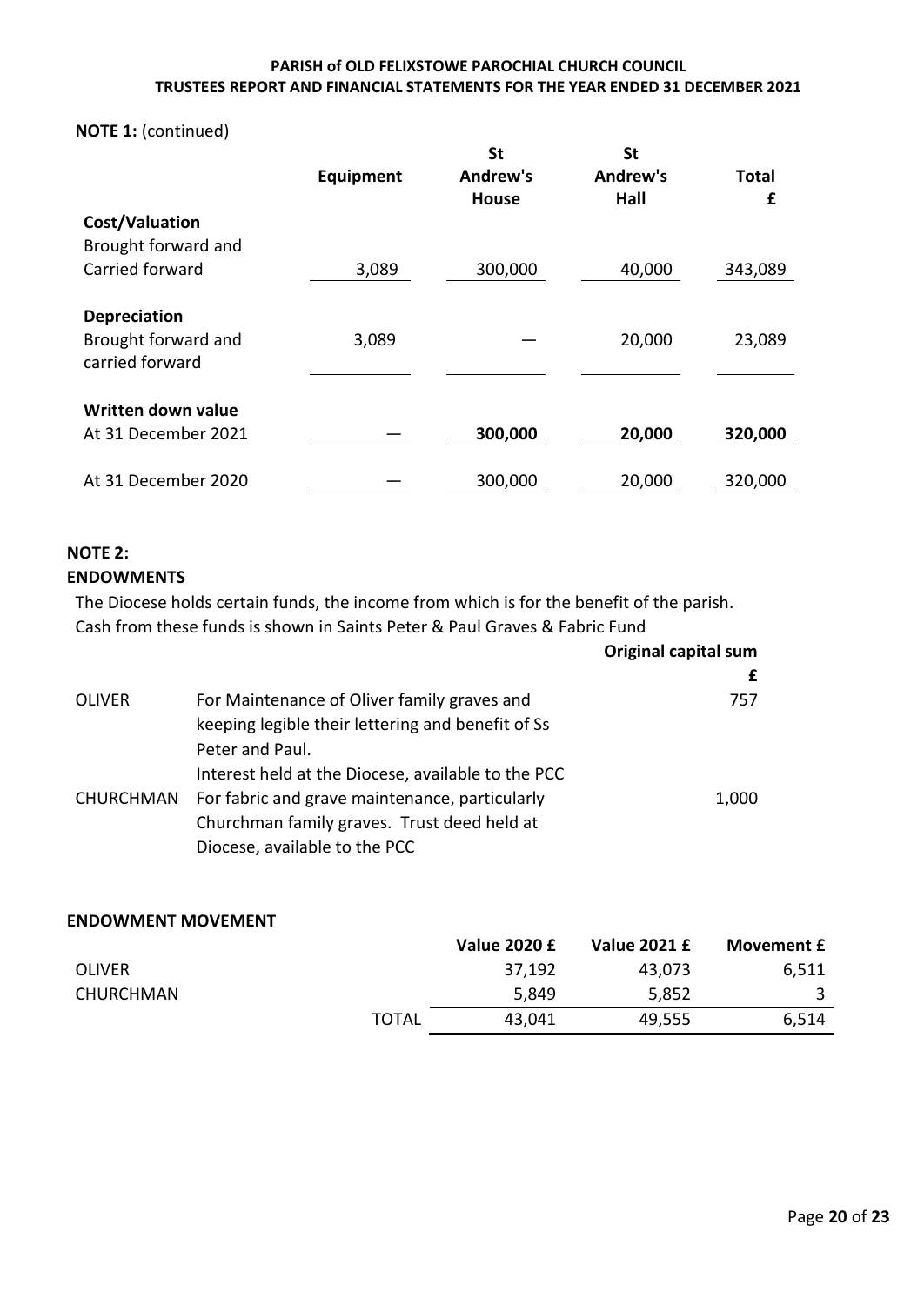# **NOTE 1:** (continued)

|                                                               | Equipment | <b>St</b><br>Andrew's<br><b>House</b> | <b>St</b><br>Andrew's<br>Hall | <b>Total</b><br>£ |
|---------------------------------------------------------------|-----------|---------------------------------------|-------------------------------|-------------------|
| Cost/Valuation                                                |           |                                       |                               |                   |
| Brought forward and                                           |           |                                       |                               |                   |
| Carried forward                                               | 3,089     | 300,000                               | 40,000                        | 343,089           |
| <b>Depreciation</b><br>Brought forward and<br>carried forward | 3,089     |                                       | 20,000                        | 23,089            |
|                                                               |           |                                       |                               |                   |
| Written down value                                            |           |                                       |                               |                   |
| At 31 December 2021                                           |           | 300,000                               | 20,000                        | 320,000           |
| At 31 December 2020                                           |           | 300,000                               | 20,000                        | 320,000           |

## **NOTE 2:**

#### **ENDOWMENTS**

The Diocese holds certain funds, the income from which is for the benefit of the parish. Cash from these funds is shown in Saints Peter & Paul Graves & Fabric Fund

|               |                                                    | Original capital sum |
|---------------|----------------------------------------------------|----------------------|
|               |                                                    |                      |
| <b>OLIVER</b> | For Maintenance of Oliver family graves and        | 757                  |
|               | keeping legible their lettering and benefit of Ss  |                      |
|               | Peter and Paul.                                    |                      |
|               | Interest held at the Diocese, available to the PCC |                      |
| CHURCHMAN     | For fabric and grave maintenance, particularly     | 1,000                |
|               | Churchman family graves. Trust deed held at        |                      |
|               | Diocese, available to the PCC                      |                      |

#### **ENDOWMENT MOVEMENT**

|               |              | <b>Value 2020 £</b> | <b>Value 2021 £</b> | Movement £ |
|---------------|--------------|---------------------|---------------------|------------|
| <b>OLIVER</b> |              | 37,192              | 43,073              | 6,511      |
| CHURCHMAN     |              | 5,849               | 5,852               |            |
|               | <b>TOTAL</b> | 43.041              | 49,555              | 6.514      |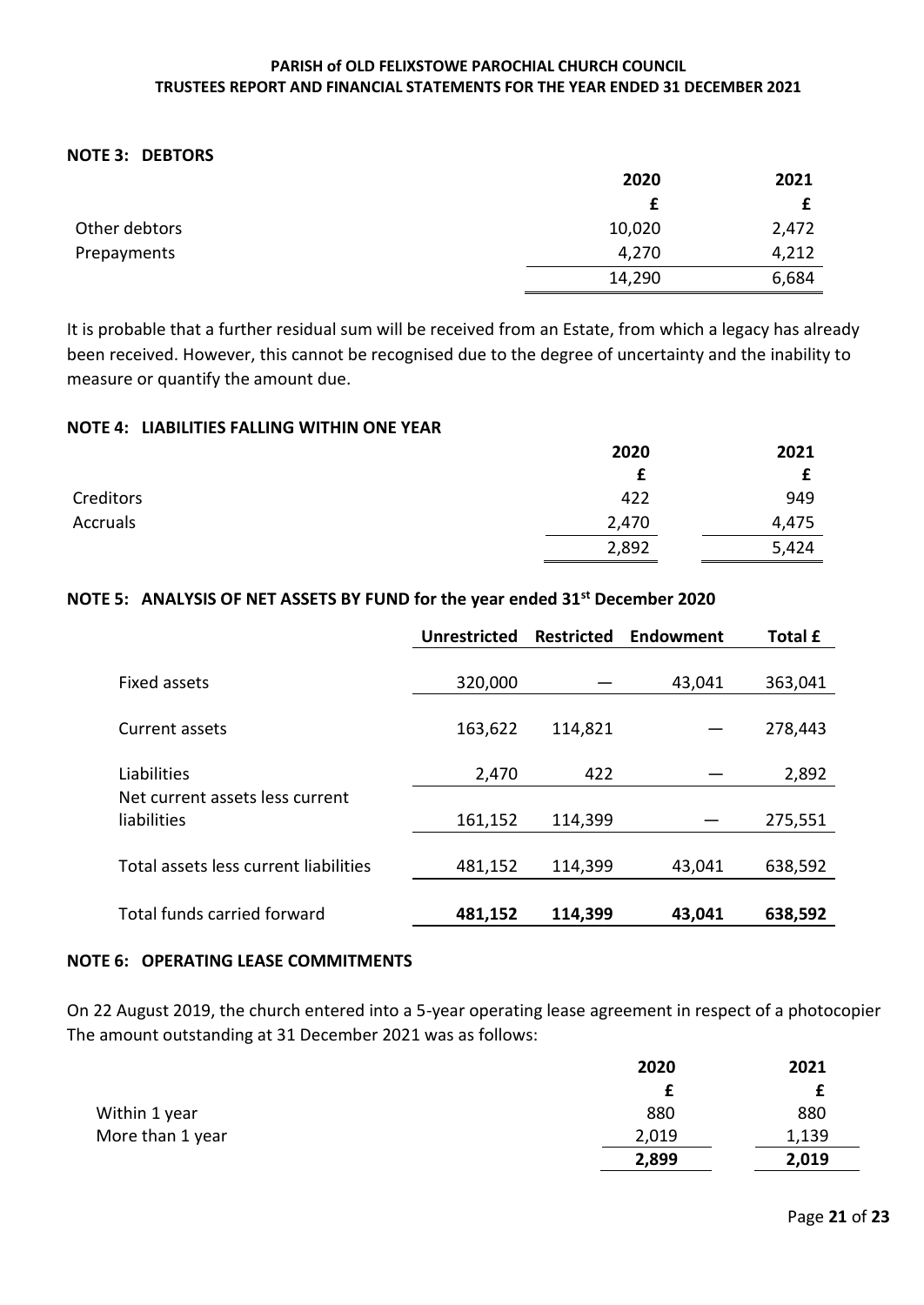#### **NOTE 3: DEBTORS**

|               | 2020   | 2021  |
|---------------|--------|-------|
|               |        |       |
| Other debtors | 10,020 | 2,472 |
| Prepayments   | 4,270  | 4,212 |
|               | 14,290 | 6,684 |

It is probable that a further residual sum will be received from an Estate, from which a legacy has already been received. However, this cannot be recognised due to the degree of uncertainty and the inability to measure or quantify the amount due.

#### **NOTE 4: LIABILITIES FALLING WITHIN ONE YEAR**

|           | 2020  | 2021  |
|-----------|-------|-------|
|           |       |       |
| Creditors | 422   | 949   |
| Accruals  | 2,470 | 4,475 |
|           | 2,892 | 5,424 |

### **NOTE 5: ANALYSIS OF NET ASSETS BY FUND for the year ended 31st December 2020**

|                                                | <b>Unrestricted</b> | <b>Restricted</b> | Endowment | <b>Total £</b> |
|------------------------------------------------|---------------------|-------------------|-----------|----------------|
| Fixed assets                                   | 320,000             |                   | 43,041    | 363,041        |
| Current assets                                 | 163,622             | 114,821           |           | 278,443        |
| Liabilities                                    | 2,470               | 422               |           | 2,892          |
| Net current assets less current<br>liabilities | 161,152             | 114,399           |           | 275,551        |
| Total assets less current liabilities          | 481,152             | 114,399           | 43,041    | 638,592        |
| <b>Total funds carried forward</b>             | 481,152             | 114,399           | 43,041    | 638,592        |

#### **NOTE 6: OPERATING LEASE COMMITMENTS**

On 22 August 2019, the church entered into a 5-year operating lease agreement in respect of a photocopier The amount outstanding at 31 December 2021 was as follows:

|                  | 2020  | 2021  |
|------------------|-------|-------|
|                  | £     |       |
| Within 1 year    | 880   | 880   |
| More than 1 year | 2,019 | 1,139 |
|                  | 2,899 | 2,019 |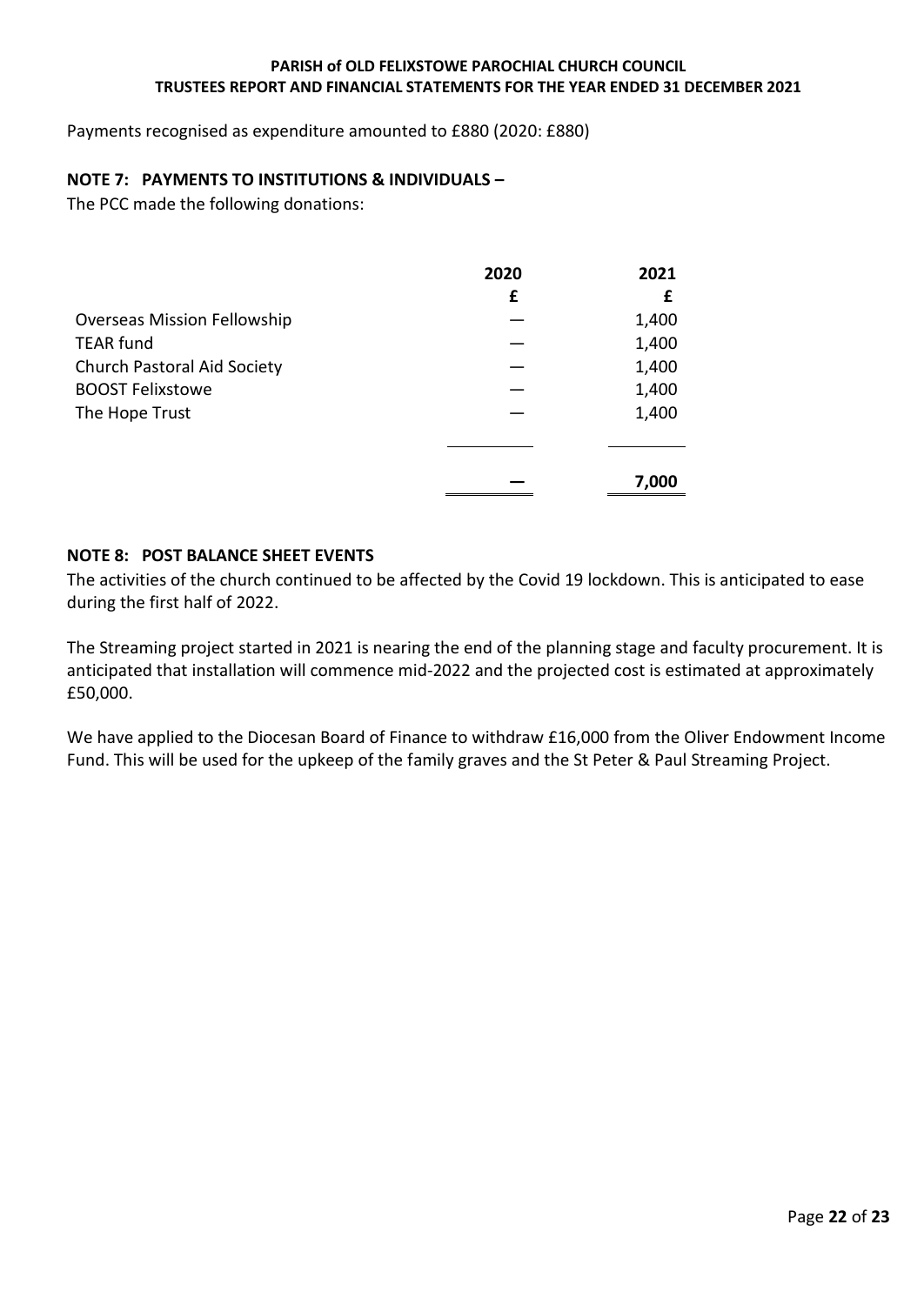Payments recognised as expenditure amounted to £880 (2020: £880)

#### **NOTE 7: PAYMENTS TO INSTITUTIONS & INDIVIDUALS –**

The PCC made the following donations:

|                                    | 2020 | 2021  |
|------------------------------------|------|-------|
|                                    | £    | £     |
| <b>Overseas Mission Fellowship</b> |      | 1,400 |
| <b>TEAR fund</b>                   |      | 1,400 |
| <b>Church Pastoral Aid Society</b> |      | 1,400 |
| <b>BOOST Felixstowe</b>            |      | 1,400 |
| The Hope Trust                     |      | 1,400 |
|                                    |      |       |
|                                    |      | 7,000 |

#### **NOTE 8: POST BALANCE SHEET EVENTS**

The activities of the church continued to be affected by the Covid 19 lockdown. This is anticipated to ease during the first half of 2022.

The Streaming project started in 2021 is nearing the end of the planning stage and faculty procurement. It is anticipated that installation will commence mid-2022 and the projected cost is estimated at approximately £50,000.

We have applied to the Diocesan Board of Finance to withdraw £16,000 from the Oliver Endowment Income Fund. This will be used for the upkeep of the family graves and the St Peter & Paul Streaming Project.